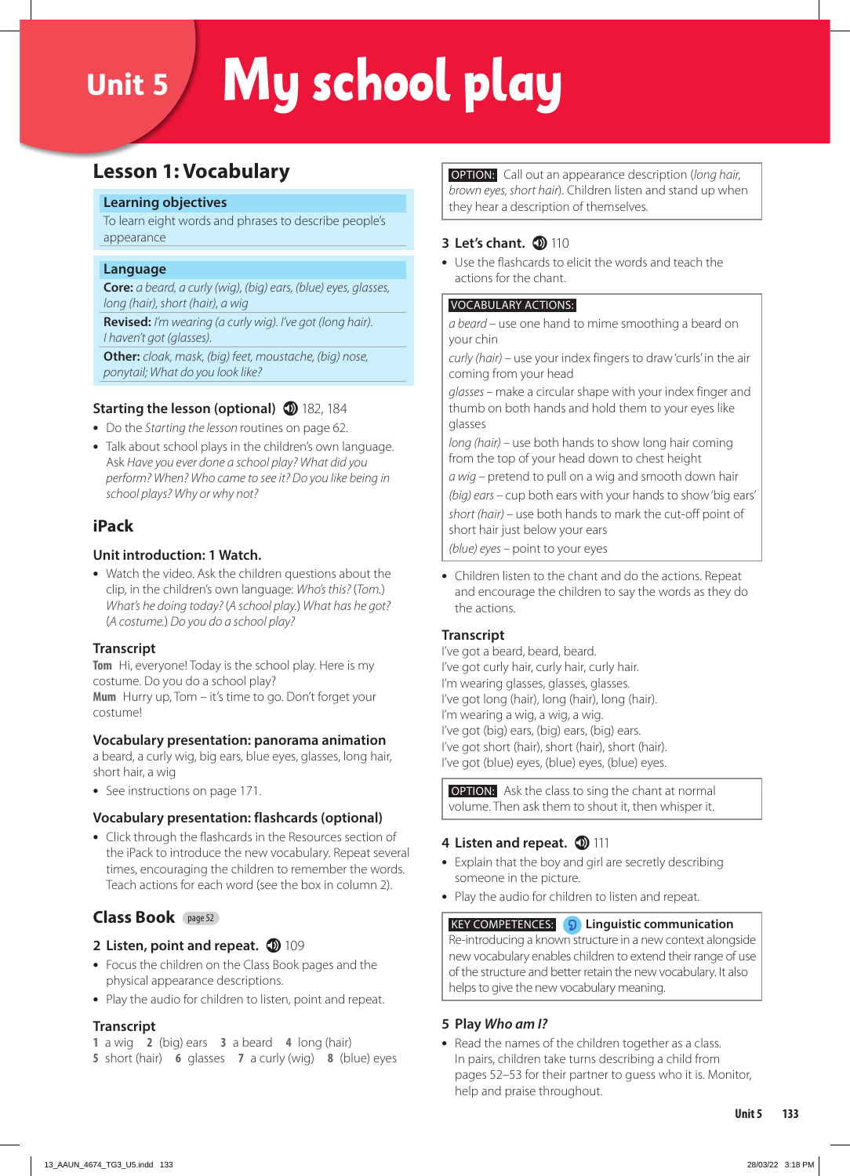# Unit 5 My school play

# **Lesson 1: Vocabulary**

#### **Learning objectives**

To learn eight words and phrases to describe people's appearance

#### **Language**

**Core:** *a beard, a curly (wig), (big) ears, (blue) eyes, glasses, long (hair), short (hair), a wig*

**Revised:** *I'm wearing (a curly wig). I've got (long hair). I haven't got (glasses).* 

**Other:** *cloak, mask, (big) feet, moustache, (big) nose, ponytail; What do you look like?*

## **Starting the lesson (optional) 182**, 184

- **•** Do the *Starting the lesson* routines on page 62.
- **•** Talk about school plays in the children's own language. Ask *Have you ever done a school play? What did you perform? When? Who came to see it? Do you like being in school plays? Why or why not?*

## **iPack**

## **Unit introduction: 1 Watch.**

**•** Watch the video. Ask the children questions about the clip, in the children's own language: *Who's this?* (*Tom.*) *What's he doing today?* (*A school play.*) *What has he got?*  (*A costume.*) *Do you do a school play?*

#### **Transcript**

**Tom** Hi, everyone! Today is the school play. Here is my costume. Do you do a school play?

**Mum** Hurry up, Tom – it's time to go. Don't forget your costume!

## **Vocabulary presentation: panorama animation**

a beard, a curly wig, big ears, blue eyes, glasses, long hair, short hair, a wig

**•** See instructions on page 171.

#### **Vocabulary presentation: flashcards (optional)**

**•** Click through the flashcards in the Resources section of the iPack to introduce the new vocabulary. Repeat several times, encouraging the children to remember the words. Teach actions for each word (see the box in column 2).

## **Class Book** page 52

## **2 Listen, point and repeat. 109**

- **•** Focus the children on the Class Book pages and the physical appearance descriptions.
- **•** Play the audio for children to listen, point and repeat.

#### **Transcript**

- **1** a wig **2** (big) ears **3** a beard **4** long (hair)
- **5** short (hair) **6** glasses **7** a curly (wig) **8** (blue) eyes

 OPTION: Call out an appearance description (*long hair, brown eyes, short hair*). Children listen and stand up when they hear a description of themselves.

## **3 Let's chant.** 110

**•** Use the flashcards to elicit the words and teach the actions for the chant.

#### VOCABULARY ACTIONS:

*a beard –* use one hand to mime smoothing a beard on your chin

*curly (hair) –* use your index fingers to draw 'curls' in the air coming from your head

*glasses –* make a circular shape with your index finger and thumb on both hands and hold them to your eyes like glasses

*long (hair) –* use both hands to show long hair coming from the top of your head down to chest height

*a wig –* pretend to pull on a wig and smooth down hair *(big) ears –* cup both ears with your hands to show 'big ears' *short (hair) –* use both hands to mark the cut-off point of short hair just below your ears

*(blue) eyes –* point to your eyes

**•** Children listen to the chant and do the actions. Repeat and encourage the children to say the words as they do the actions.

## **Transcript**

I've got a beard, beard, beard. I've got curly hair, curly hair, curly hair. I'm wearing glasses, glasses, glasses. I've got long (hair), long (hair), long (hair). I'm wearing a wig, a wig, a wig. I've got (big) ears, (big) ears, (big) ears. I've got short (hair), short (hair), short (hair). I've got (blue) eyes, (blue) eyes, (blue) eyes.

**OPTION:** Ask the class to sing the chant at normal volume. Then ask them to shout it, then whisper it.

## **4 Listen and repeat. (D) 111**

- **•** Explain that the boy and girl are secretly describing someone in the picture.
- **•** Play the audio for children to listen and repeat.

#### KEY COMPETENCES: **Linguistic communication**

Re-introducing a known structure in a new context alongside new vocabulary enables children to extend their range of use of the structure and better retain the new vocabulary. It also helps to give the new vocabulary meaning.

## **5 Play** *Who am I?*

**•** Read the names of the children together as a class. In pairs, children take turns describing a child from pages 52–53 for their partner to guess who it is. Monitor, help and praise throughout.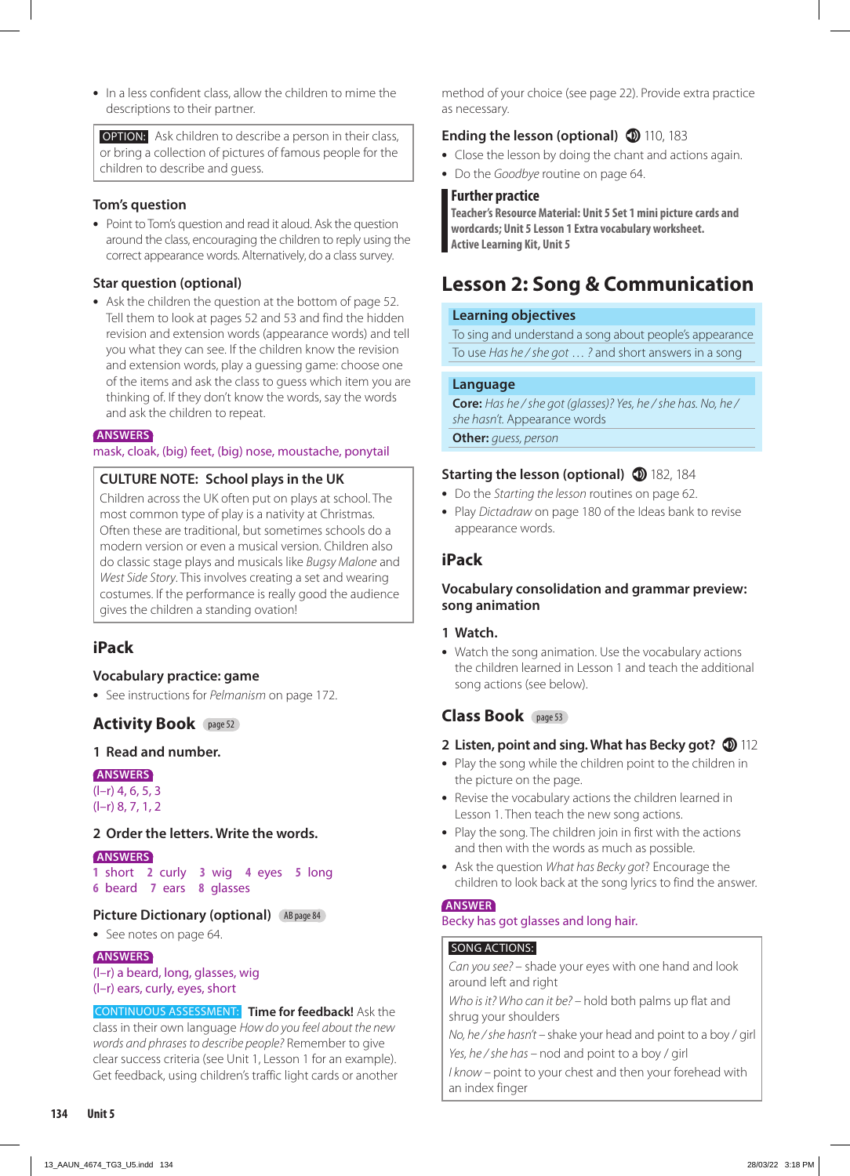**•** In a less confident class, allow the children to mime the descriptions to their partner.

 OPTION: Ask children to describe a person in their class, or bring a collection of pictures of famous people for the children to describe and guess.

### **Tom's question**

**•** Point to Tom's question and read it aloud. Ask the question around the class, encouraging the children to reply using the correct appearance words. Alternatively, do a class survey.

#### **Star question (optional)**

**•** Ask the children the question at the bottom of page 52. Tell them to look at pages 52 and 53 and find the hidden revision and extension words (appearance words) and tell you what they can see. If the children know the revision and extension words, play a guessing game: choose one of the items and ask the class to guess which item you are thinking of. If they don't know the words, say the words and ask the children to repeat.

#### **ANSWERS**

mask, cloak, (big) feet, (big) nose, moustache, ponytail

#### **CULTURE NOTE: School plays in the UK**

Children across the UK often put on plays at school. The most common type of play is a nativity at Christmas. Often these are traditional, but sometimes schools do a modern version or even a musical version. Children also do classic stage plays and musicals like *Bugsy Malone* and *West Side Story*. This involves creating a set and wearing costumes. If the performance is really good the audience gives the children a standing ovation!

## **iPack**

#### **Vocabulary practice: game**

**•** See instructions for *Pelmanism* on page 172.

## **Activity Book** page 52

#### **1 Read and number.**

#### **ANSWERS**

(l–r) 4, 6, 5, 3 (l–r) 8, 7, 1, 2

#### **2 Order the letters. Write the words.**

#### **ANSWERS**

**1** short **2** curly **3** wig **4** eyes **5** long **6** beard **7** ears **8** glasses

#### **Picture Dictionary (optional)** (AB page 84)

**•** See notes on page 64.

#### **ANSWERS**

(l–r) a beard, long, glasses, wig (l–r) ears, curly, eyes, short

CONTINUOUS ASSESSMENT: **Time for feedback!** Ask the class in their own language *How do you feel about the new words and phrases to describe people?* Remember to give clear success criteria (see Unit 1, Lesson 1 for an example). Get feedback, using children's traffic light cards or another method of your choice (see page 22). Provide extra practice as necessary.

## **Ending the lesson (optional) 110, 183**

- **•** Close the lesson by doing the chant and actions again.
- **•** Do the *Goodbye* routine on page 64.

#### **Further practice**

**Teacher's Resource Material: Unit 5 Set 1 mini picture cards and wordcards; Unit 5 Lesson 1 Extra vocabulary worksheet. Active Learning Kit, Unit 5**

# **Lesson 2: Song & Communication**

#### **Learning objectives**

To sing and understand a song about people's appearance To use *Has he / she got* … *?* and short answers in a song

#### **Language**

**Core:** *Has he / she got (glasses)? Yes, he / she has. No, he / she hasn't.* Appearance words

**Other:** *guess, person*

#### **Starting the lesson (optional)** 182, 184

- **•** Do the *Starting the lesson* routines on page 62.
- **•** Play *Dictadraw* on page 180 of the Ideas bank to revise appearance words.

## **iPack**

#### **Vocabulary consolidation and grammar preview: song animation**

#### **1 Watch.**

**•** Watch the song animation. Use the vocabulary actions the children learned in Lesson 1 and teach the additional song actions (see below).

## **Class Book** page 53

#### **2** Listen, point and sing. What has Becky got?  $\mathbf{D}$  112

- **•** Play the song while the children point to the children in the picture on the page.
- **•** Revise the vocabulary actions the children learned in Lesson 1. Then teach the new song actions.
- **•** Play the song. The children join in first with the actions and then with the words as much as possible.
- **•** Ask the question *What has Becky got*? Encourage the children to look back at the song lyrics to find the answer.

#### **ANSWER**

#### Becky has got glasses and long hair.

## SONG ACTIONS:

*Can you see?* – shade your eyes with one hand and look around left and right

*Who is it? Who can it be? –* hold both palms up flat and shrug your shoulders

*No, he / she hasn't –* shake your head and point to a boy / girl *Yes, he / she has –* nod and point to a boy / girl

*I know – point to your chest and then your forehead with* an index finger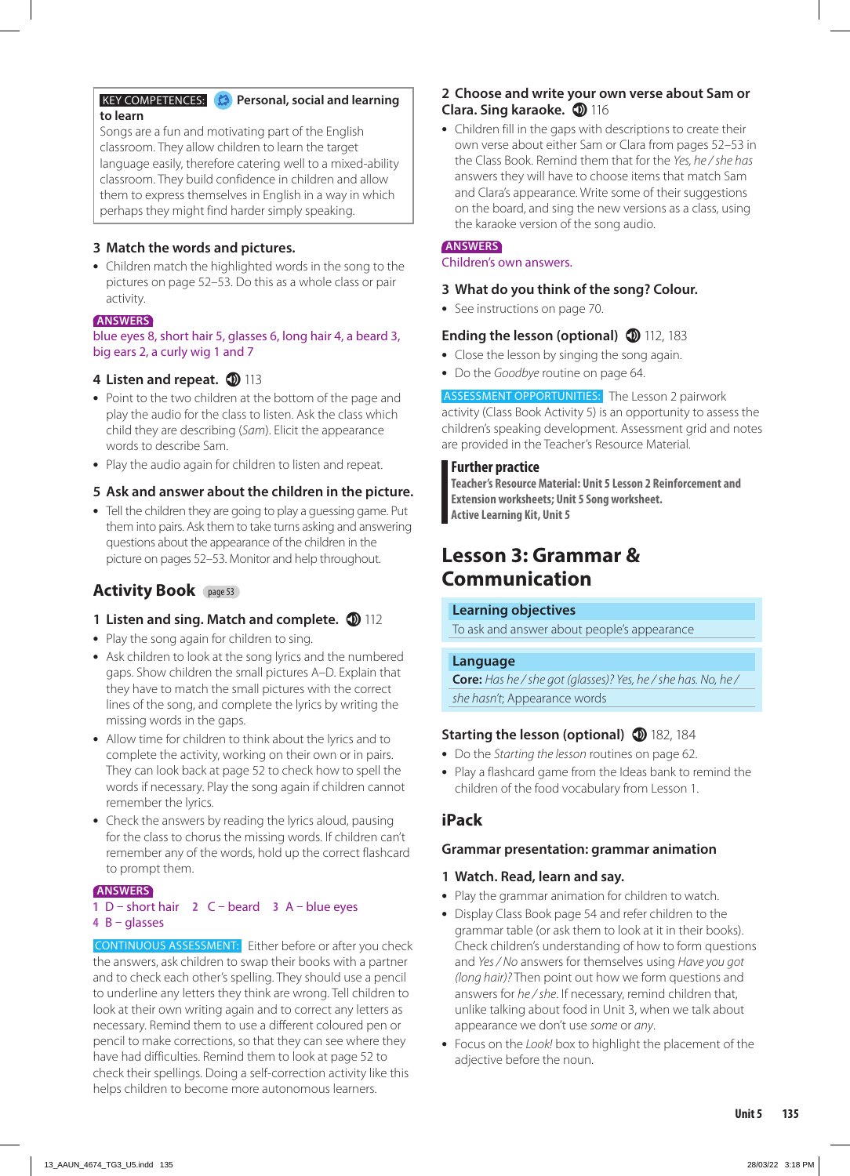#### **KEY COMPETENCES: Personal, social and learning to learn**

Songs are a fun and motivating part of the English classroom. They allow children to learn the target language easily, therefore catering well to a mixed-ability classroom. They build confidence in children and allow them to express themselves in English in a way in which perhaps they might find harder simply speaking.

### **3 Match the words and pictures.**

**•** Children match the highlighted words in the song to the pictures on page 52*–*53. Do this as a whole class or pair activity.

#### **ANSWERS**

#### blue eyes 8, short hair 5, glasses 6, long hair 4, a beard 3, big ears 2, a curly wig 1 and 7

## 4 Listen and repeat. **1** 113

- **•** Point to the two children at the bottom of the page and play the audio for the class to listen. Ask the class which child they are describing (*Sam*). Elicit the appearance words to describe Sam.
- **•** Play the audio again for children to listen and repeat.

## **5 Ask and answer about the children in the picture.**

**•** Tell the children they are going to play a guessing game. Put them into pairs. Ask them to take turns asking and answering questions about the appearance of the children in the picture on pages 52–53. Monitor and help throughout.

## **Activity Book** page 53

## **1 Listen and sing. Match and complete.**  $\mathbf{D}$  **112**

- **•** Play the song again for children to sing.
- **•** Ask children to look at the song lyrics and the numbered gaps. Show children the small pictures A–D. Explain that they have to match the small pictures with the correct lines of the song, and complete the lyrics by writing the missing words in the gaps.
- **•** Allow time for children to think about the lyrics and to complete the activity, working on their own or in pairs. They can look back at page 52 to check how to spell the words if necessary. Play the song again if children cannot remember the lyrics.
- **•** Check the answers by reading the lyrics aloud, pausing for the class to chorus the missing words. If children can't remember any of the words, hold up the correct flashcard to prompt them.

#### **ANSWERS**

#### **1** D – short hair **2** C – beard **3** A – blue eyes **4** B – glasses

CONTINUOUS ASSESSMENT: Either before or after you check the answers, ask children to swap their books with a partner and to check each other's spelling. They should use a pencil to underline any letters they think are wrong. Tell children to look at their own writing again and to correct any letters as necessary. Remind them to use a different coloured pen or pencil to make corrections, so that they can see where they have had difficulties. Remind them to look at page 52 to check their spellings. Doing a self-correction activity like this helps children to become more autonomous learners.

### **2 Choose and write your own verse about Sam or Clara. Sing karaoke. 10 116**

**•** Children fill in the gaps with descriptions to create their own verse about either Sam or Clara from pages 52–53 in the Class Book. Remind them that for the *Yes, he / she has* answers they will have to choose items that match Sam and Clara's appearance. Write some of their suggestions on the board, and sing the new versions as a class, using the karaoke version of the song audio.

## **ANSWERS**

Children's own answers.

#### **3 What do you think of the song? Colour.**

**•** See instructions on page 70.

### **Ending the lesson (optional) 112**, 183

- **•** Close the lesson by singing the song again.
- **•** Do the *Goodbye* routine on page 64.

ASSESSMENT OPPORTUNITIES: The Lesson 2 pairwork activity (Class Book Activity 5) is an opportunity to assess the children's speaking development. Assessment grid and notes are provided in the Teacher's Resource Material.

#### **Further practice**

**Teacher's Resource Material: Unit 5 Lesson 2 Reinforcement and Extension worksheets; Unit 5 Song worksheet. Active Learning Kit, Unit 5**

# **Lesson 3: Grammar & Communication**

#### **Learning objectives**

To ask and answer about people's appearance

#### **Language**

**Core:** *Has he / she got (glasses)? Yes, he / she has. No, he / she hasn't*; Appearance words

## **Starting the lesson (optional)** 182, 184

- **•** Do the *Starting the lesson* routines on page 62.
- **•** Play a flashcard game from the Ideas bank to remind the children of the food vocabulary from Lesson 1.

## **iPack**

#### **Grammar presentation: grammar animation**

#### **1 Watch. Read, learn and say.**

- **•** Play the grammar animation for children to watch.
- **•** Display Class Book page 54 and refer children to the grammar table (or ask them to look at it in their books). Check children's understanding of how to form questions and *Yes / No* answers for themselves using *Have you got (long hair)?* Then point out how we form questions and answers for *he / she*. If necessary, remind children that, unlike talking about food in Unit 3, when we talk about appearance we don't use *some* or *any*.
- **•** Focus on the *Look!* box to highlight the placement of the adjective before the noun.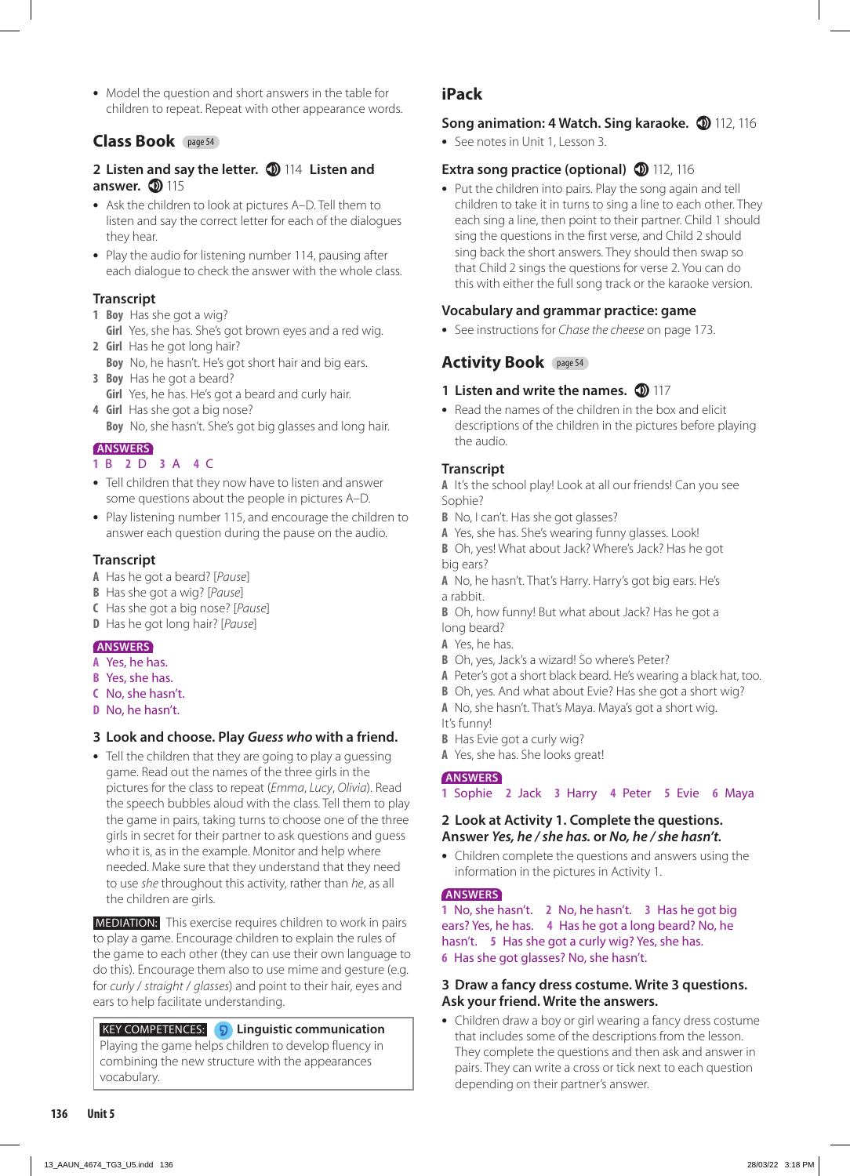**•** Model the question and short answers in the table for children to repeat. Repeat with other appearance words.

## **Class Book** page 54

### **2 Listen and say the letter.**  $\textcircled{114}$  **Listen and answer. 115**

- **•** Ask the children to look at pictures A–D. Tell them to listen and say the correct letter for each of the dialogues they hear.
- **•** Play the audio for listening number 114, pausing after each dialogue to check the answer with the whole class.

## **Transcript**

- **1 Boy** Has she got a wig?
- **Girl** Yes, she has. She's got brown eyes and a red wig. **2 Girl** Has he got long hair?
	- **Boy** No, he hasn't. He's got short hair and big ears.
- **3 Boy** Has he got a beard? **Girl** Yes, he has. He's got a beard and curly hair.
- **4 Girl** Has she got a big nose? **Boy** No, she hasn't. She's got big glasses and long hair.

## **ANSWERS**

## **1** B **2** D **3** A **4** C

- **•** Tell children that they now have to listen and answer some questions about the people in pictures A–D.
- **•** Play listening number 115, and encourage the children to answer each question during the pause on the audio.

## **Transcript**

- **A** Has he got a beard? [*Pause*]
- **B** Has she got a wig? [*Pause*]
- **C** Has she got a big nose? [*Pause*]
- **D** Has he got long hair? [*Pause*]

## **ANSWERS**

- **A** Yes, he has.
- **B** Yes, she has.
- **C** No, she hasn't.
- **D** No, he hasn't.

## **3 Look and choose. Play** *Guess who* **with a friend.**

**•** Tell the children that they are going to play a guessing game. Read out the names of the three girls in the pictures for the class to repeat (*Emma*, *Lucy*, *Olivia*). Read the speech bubbles aloud with the class. Tell them to play the game in pairs, taking turns to choose one of the three girls in secret for their partner to ask questions and guess who it is, as in the example. Monitor and help where needed. Make sure that they understand that they need to use *she* throughout this activity, rather than *he*, as all the children are girls.

 MEDIATION: This exercise requires children to work in pairs to play a game. Encourage children to explain the rules of the game to each other (they can use their own language to do this). Encourage them also to use mime and gesture (e.g. for *curly* / *straight* / *glasses*) and point to their hair, eyes and ears to help facilitate understanding.

 KEY COMPETENCES: **Linguistic communication** Playing the game helps children to develop fluency in combining the new structure with the appearances vocabulary.

## **iPack**

## **Song animation: 4 Watch. Sing karaoke. 1 112, 116**

**•** See notes in Unit 1, Lesson 3.

## **Extra song practice (optional) 112**, 116

**•** Put the children into pairs. Play the song again and tell children to take it in turns to sing a line to each other. They each sing a line, then point to their partner. Child 1 should sing the questions in the first verse, and Child 2 should sing back the short answers. They should then swap so that Child 2 sings the questions for verse 2. You can do this with either the full song track or the karaoke version.

## **Vocabulary and grammar practice: game**

**•** See instructions for *Chase the cheese* on page 173.

## **Activity Book** page 54

## **1 Listen and write the names.**  $\Phi$  117

**•** Read the names of the children in the box and elicit descriptions of the children in the pictures before playing the audio.

## **Transcript**

**A** It's the school play! Look at all our friends! Can you see Sophie?

- **B** No, I can't. Has she got glasses?
- **A** Yes, she has. She's wearing funny glasses. Look!

**B** Oh, yes! What about Jack? Where's Jack? Has he got big ears?

- **A** No, he hasn't. That's Harry. Harry's got big ears. He's a rabbit.
- **B** Oh, how funny! But what about Jack? Has he got a long beard?
- **A** Yes, he has.
- **B** Oh, yes, Jack's a wizard! So where's Peter?
- **A** Peter's got a short black beard. He's wearing a black hat, too.
- **B** Oh, yes. And what about Evie? Has she got a short wig?
- **A** No, she hasn't. That's Maya. Maya's got a short wig. It's funny!
- **B** Has Evie got a curly wig?
- **A** Yes, she has. She looks great!

## **ANSWERS**

**1** Sophie **2** Jack **3** Harry **4** Peter **5** Evie **6** Maya

#### **2 Look at Activity 1. Complete the questions. Answer** *Yes, he / she has.* **or** *No, he / she hasn't.*

**•** Children complete the questions and answers using the information in the pictures in Activity 1.

## **ANSWERS**

**1** No, she hasn't. **2** No, he hasn't. **3** Has he got big ears? Yes, he has. **4** Has he got a long beard? No, he hasn't. **5** Has she got a curly wig? Yes, she has. **6** Has she got glasses? No, she hasn't.

#### **3 Draw a fancy dress costume. Write 3 questions. Ask your friend. Write the answers.**

**•** Children draw a boy or girl wearing a fancy dress costume that includes some of the descriptions from the lesson. They complete the questions and then ask and answer in pairs. They can write a cross or tick next to each question depending on their partner's answer.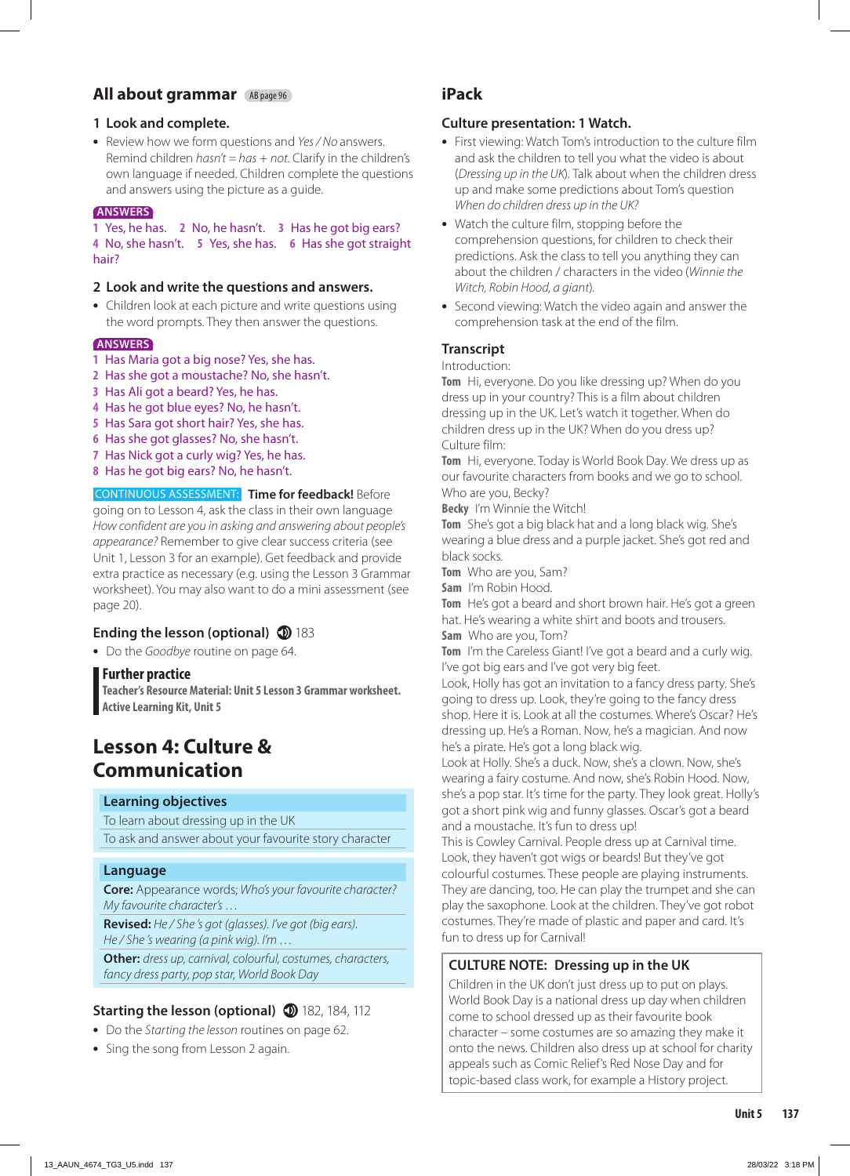## **All about grammar** AB page 96

#### **1 Look and complete.**

**•** Review how we form questions and *Yes / No* answers. Remind children *hasn't = has* + *not.* Clarify in the children's own language if needed. Children complete the questions and answers using the picture as a guide.

#### **ANSWERS**

**1** Yes, he has. **2** No, he hasn't. **3** Has he got big ears? **4** No, she hasn't. **5** Yes, she has. **6** Has she got straight hair?

#### **2 Look and write the questions and answers.**

**•** Children look at each picture and write questions using the word prompts. They then answer the questions.

#### **ANSWERS**

- **1** Has Maria got a big nose? Yes, she has.
- **2** Has she got a moustache? No, she hasn't.
- **3** Has Ali got a beard? Yes, he has.
- **4** Has he got blue eyes? No, he hasn't.
- **5** Has Sara got short hair? Yes, she has.
- **6** Has she got glasses? No, she hasn't.
- **7** Has Nick got a curly wig? Yes, he has.
- **8** Has he got big ears? No, he hasn't.

#### CONTINUOUS ASSESSMENT: **Time for feedback!** Before going on to Lesson 4, ask the class in their own language *How confident are you in asking and answering about people's appearance?* Remember to give clear success criteria (see Unit 1, Lesson 3 for an example). Get feedback and provide extra practice as necessary (e.g. using the Lesson 3 Grammar worksheet). You may also want to do a mini assessment (see page 20).

## **Ending the lesson (optional) 183**

**•** Do the *Goodbye* routine on page 64.

#### **Further practice**

**Teacher's Resource Material: Unit 5 Lesson 3 Grammar worksheet. Active Learning Kit, Unit 5**

# **Lesson 4: Culture & Communication**

#### **Learning objectives**

To learn about dressing up in the UK

To ask and answer about your favourite story character

#### **Language**

**Core:** Appearance words; *Who's your favourite character? My favourite character's …*

**Revised:** *He / She 's got (glasses). I've got (big ears). He / She 's wearing (a pink wig). I'm …*

**Other:** *dress up, carnival, colourful, costumes, characters, fancy dress party, pop star, World Book Day*

## **Starting the lesson (optional) 182, 184, 112**

- **•** Do the *Starting the lesson* routines on page 62.
- **•** Sing the song from Lesson 2 again.

## **iPack**

#### **Culture presentation: 1 Watch.**

- **•** First viewing: Watch Tom's introduction to the culture film and ask the children to tell you what the video is about (*Dressing up in the UK*)*.* Talk about when the children dress up and make some predictions about Tom's question *When do children dress up in the UK?*
- **•** Watch the culture film, stopping before the comprehension questions, for children to check their predictions. Ask the class to tell you anything they can about the children / characters in the video (*Winnie the Witch, Robin Hood, a giant*)*.*
- **•** Second viewing: Watch the video again and answer the comprehension task at the end of the film.

### **Transcript**

#### Introduction:

**Tom** Hi, everyone. Do you like dressing up? When do you dress up in your country? This is a film about children dressing up in the UK. Let's watch it together. When do children dress up in the UK? When do you dress up? Culture film:

**Tom** Hi, everyone. Today is World Book Day. We dress up as our favourite characters from books and we go to school. Who are you, Becky?

**Becky** I'm Winnie the Witch!

**Tom** She's got a big black hat and a long black wig. She's wearing a blue dress and a purple jacket. She's got red and black socks.

**Tom** Who are you, Sam?

**Sam** I'm Robin Hood.

**Tom** He's got a beard and short brown hair. He's got a green hat. He's wearing a white shirt and boots and trousers. **Sam** Who are you, Tom?

**Tom** I'm the Careless Giant! I've got a beard and a curly wig. I've got big ears and I've got very big feet.

Look, Holly has got an invitation to a fancy dress party. She's going to dress up. Look, they're going to the fancy dress shop. Here it is. Look at all the costumes. Where's Oscar? He's dressing up. He's a Roman. Now, he's a magician. And now he's a pirate. He's got a long black wig.

Look at Holly. She's a duck. Now, she's a clown. Now, she's wearing a fairy costume. And now, she's Robin Hood. Now, she's a pop star. It's time for the party. They look great. Holly's got a short pink wig and funny glasses. Oscar's got a beard and a moustache. It's fun to dress up!

This is Cowley Carnival. People dress up at Carnival time. Look, they haven't got wigs or beards! But they've got colourful costumes. These people are playing instruments. They are dancing, too. He can play the trumpet and she can play the saxophone. Look at the children. They've got robot costumes. They're made of plastic and paper and card. It's fun to dress up for Carnival!

## **CULTURE NOTE: Dressing up in the UK**

Children in the UK don't just dress up to put on plays. World Book Day is a national dress up day when children come to school dressed up as their favourite book character – some costumes are so amazing they make it onto the news. Children also dress up at school for charity appeals such as Comic Relief's Red Nose Day and for topic-based class work, for example a History project.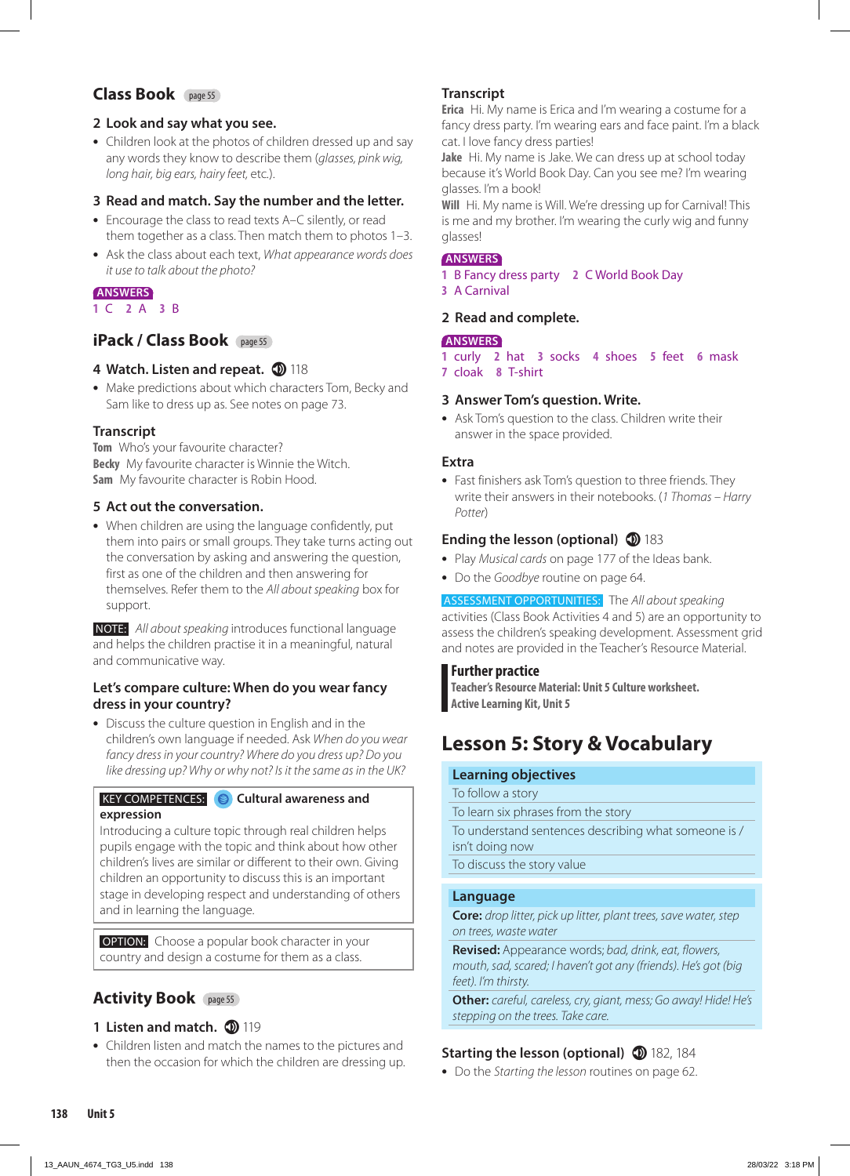## **Class Book** page 55

#### **2 Look and say what you see.**

**•** Children look at the photos of children dressed up and say any words they know to describe them (*glasses, pink wig, long hair, big ears, hairy feet,* etc*.*).

#### **3 Read and match. Say the number and the letter.**

- **•** Encourage the class to read texts A–C silently, or read them together as a class. Then match them to photos 1–3.
- **•** Ask the class about each text, *What appearance words does it use to talk about the photo?*

## **ANSWERS**

**1** C **2** A **3** B

## **iPack / Class Book** page 55

#### 4 **Watch. Listen and repeat. 10 118**

**•** Make predictions about which characters Tom, Becky and Sam like to dress up as. See notes on page 73.

#### **Transcript**

**Tom** Who's your favourite character? **Becky** My favourite character is Winnie the Witch. **Sam** My favourite character is Robin Hood.

#### **5 Act out the conversation.**

**•** When children are using the language confidently, put them into pairs or small groups. They take turns acting out the conversation by asking and answering the question, first as one of the children and then answering for themselves. Refer them to the *All about speaking* box for support.

 NOTE: *All about speaking* introduces functional language and helps the children practise it in a meaningful, natural and communicative way.

#### **Let's compare culture: When do you wear fancy dress in your country?**

**•** Discuss the culture question in English and in the children's own language if needed. Ask *When do you wear fancy dress in your country? Where do you dress up? Do you like dressing up? Why or why not? Is it the same as in the UK?*

#### KEY COMPETENCES: **Cultural awareness and expression**

Introducing a culture topic through real children helps pupils engage with the topic and think about how other children's lives are similar or different to their own. Giving children an opportunity to discuss this is an important stage in developing respect and understanding of others and in learning the language.

**OPTION:** Choose a popular book character in your country and design a costume for them as a class.

## **Activity Book** page 55

#### **1 Listen and match.**  $\textcircled{\small{2}}$  **119**

**•** Children listen and match the names to the pictures and then the occasion for which the children are dressing up.

#### **Transcript**

**Erica** Hi. My name is Erica and I'm wearing a costume for a fancy dress party. I'm wearing ears and face paint. I'm a black cat. I love fancy dress parties!

**Jake** Hi. My name is Jake. We can dress up at school today because it's World Book Day. Can you see me? I'm wearing glasses. I'm a book!

**Will** Hi. My name is Will. We're dressing up for Carnival! This is me and my brother. I'm wearing the curly wig and funny glasses!

#### **ANSWERS**

- **1** B Fancy dress party **2** C World Book Day
- **3** A Carnival

#### **2 Read and complete.**

#### **ANSWERS**

**1** curly **2** hat **3** socks **4** shoes **5** feet **6** mask **7** cloak **8** T-shirt

#### **3 Answer Tom's question. Write.**

**•** Ask Tom's question to the class. Children write their answer in the space provided.

#### **Extra**

**•** Fast finishers ask Tom's question to three friends. They write their answers in their notebooks. (*1 Thomas – Harry Potter*)

#### **Ending the lesson (optional) 183**

- **•** Play *Musical cards* on page 177 of the Ideas bank.
- **•** Do the *Goodbye* routine on page 64.

ASSESSMENT OPPORTUNITIES: The *All about speaking* activities (Class Book Activities 4 and 5) are an opportunity to assess the children's speaking development. Assessment grid and notes are provided in the Teacher's Resource Material.

#### **Further practice**

**Teacher's Resource Material: Unit 5 Culture worksheet. Active Learning Kit, Unit 5**

# **Lesson 5: Story & Vocabulary**

#### **Learning objectives**

To follow a story To learn six phrases from the story To understand sentences describing what someone is / isn't doing now

To discuss the story value

#### **Language**

**Core:** *drop litter, pick up litter, plant trees, save water, step on trees, waste water*

**Revised:** Appearance words; *bad, drink, eat, flowers, mouth, sad, scared; I haven't got any (friends). He's got (big feet). I'm thirsty.*

**Other:** *careful, careless, cry, giant, mess; Go away! Hide! He's stepping on the trees. Take care.*

## **Starting the lesson (optional) 182, 184**

**•** Do the *Starting the lesson* routines on page 62.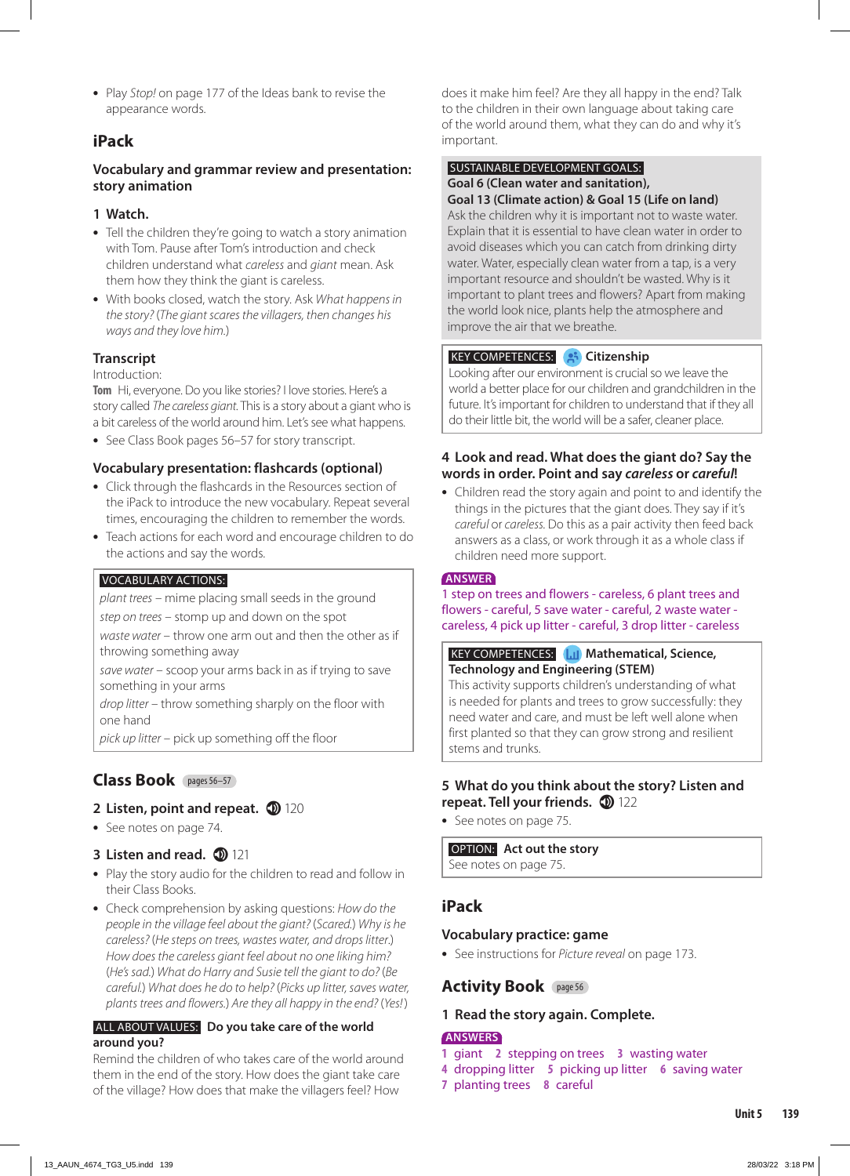**•** Play *Stop!* on page 177 of the Ideas bank to revise the appearance words.

## **iPack**

### **Vocabulary and grammar review and presentation: story animation**

#### **1 Watch.**

- **•** Tell the children they're going to watch a story animation with Tom. Pause after Tom's introduction and check children understand what *careless* and *giant* mean. Ask them how they think the giant is careless.
- **•** With books closed, watch the story. Ask *What happens in the story?* (*The giant scares the villagers, then changes his ways and they love him.*)

## **Transcript**

#### Introduction:

**Tom** Hi, everyone. Do you like stories? I love stories. Here's a story called *The careless giant.* This is a story about a giant who is a bit careless of the world around him. Let's see what happens.

**•** See Class Book pages 56–57 for story transcript.

### **Vocabulary presentation: flashcards (optional)**

- **•** Click through the flashcards in the Resources section of the iPack to introduce the new vocabulary. Repeat several times, encouraging the children to remember the words.
- **•** Teach actions for each word and encourage children to do the actions and say the words.

#### VOCABULARY ACTIONS:

*plant trees* – mime placing small seeds in the ground

*step on trees* – stomp up and down on the spot

*waste water* – throw one arm out and then the other as if throwing something away

*save water* – scoop your arms back in as if trying to save something in your arms

*drop litter* – throw something sharply on the floor with one hand

*pick up litter* – pick up something off the floor

## **Class Book** pages 56–57

## **2 Listen, point and repeat. 120**

**•** See notes on page 74.

## **3 Listen and read. 121**

- **•** Play the story audio for the children to read and follow in their Class Books.
- **•** Check comprehension by asking questions: *How do the people in the village feel about the giant?* (*Scared.*) *Why is he careless?* (*He steps on trees, wastes water, and drops litter*.) *How does the careless giant feel about no one liking him?*  (*He's sad.*) *What do Harry and Susie tell the giant to do?* (*Be careful.*) *What does he do to help?* (*Picks up litter, saves water, plants trees and flowers.*) *Are they all happy in the end?* (*Yes!*)

#### ALL ABOUT VALUES: **Do you take care of the world around you?**

Remind the children of who takes care of the world around them in the end of the story. How does the giant take care of the village? How does that make the villagers feel? How

does it make him feel? Are they all happy in the end? Talk to the children in their own language about taking care of the world around them, what they can do and why it's important.

## SUSTAINABLE DEVELOPMENT GOALS:

#### **Goal 6 (Clean water and sanitation), Goal 13 (Climate action) & Goal 15 (Life on land)**

Ask the children why it is important not to waste water. Explain that it is essential to have clean water in order to avoid diseases which you can catch from drinking dirty water. Water, especially clean water from a tap, is a very important resource and shouldn't be wasted. Why is it important to plant trees and flowers? Apart from making the world look nice, plants help the atmosphere and improve the air that we breathe.

#### KEY COMPETENCES: **Citizenship**

Looking after our environment is crucial so we leave the world a better place for our children and grandchildren in the future. It's important for children to understand that if they all do their little bit, the world will be a safer, cleaner place.

#### **4 Look and read. What does the giant do? Say the words in order. Point and say** *careless* **or** *careful***!**

**•** Children read the story again and point to and identify the things in the pictures that the giant does. They say if it's *careful* or *careless.* Do this as a pair activity then feed back answers as a class, or work through it as a whole class if children need more support.

#### **ANSWER**

1 step on trees and flowers - careless, 6 plant trees and flowers - careful, 5 save water - careful, 2 waste water careless, 4 pick up litter - careful, 3 drop litter - careless

#### **KEY COMPETENCES: Mathematical, Science, Technology and Engineering (STEM)**

This activity supports children's understanding of what is needed for plants and trees to grow successfully: they need water and care, and must be left well alone when first planted so that they can grow strong and resilient stems and trunks.

#### **5 What do you think about the story? Listen and repeat. Tell your friends.**  $\bullet$  122

**•** See notes on page 75.

#### OPTION: **Act out the story**

See notes on page 75.

## **iPack**

#### **Vocabulary practice: game**

**•** See instructions for *Picture reveal* on page 173.

## **Activity Book** page 56

#### **1 Read the story again. Complete.**

#### **ANSWERS**

- **1** giant **2** stepping on trees **3** wasting water
- **4** dropping litter **5** picking up litter **6** saving water
- **7** planting trees **8** careful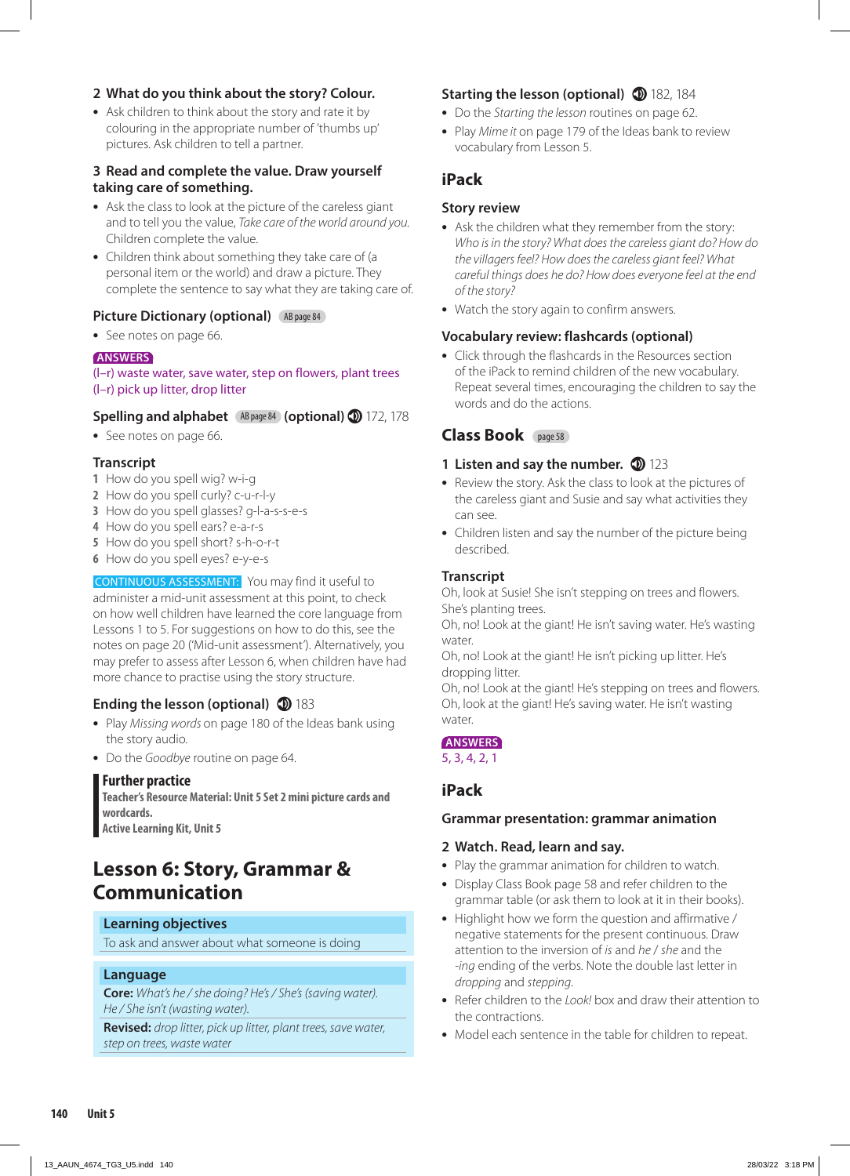#### **2 What do you think about the story? Colour.**

**•** Ask children to think about the story and rate it by colouring in the appropriate number of 'thumbs up' pictures. Ask children to tell a partner.

## **3 Read and complete the value. Draw yourself taking care of something.**

- **•** Ask the class to look at the picture of the careless giant and to tell you the value, *Take care of the world around you.*  Children complete the value.
- **•** Children think about something they take care of (a personal item or the world) and draw a picture. They complete the sentence to say what they are taking care of.

## **Picture Dictionary (optional)** (AB page 84)

**•** See notes on page 66.

## **ANSWERS**

#### (l–r) waste water, save water, step on flowers, plant trees (l–r) pick up litter, drop litter

## **Spelling and alphabet** AB page 84 **(optional)**  172, 178

**•** See notes on page 66.

## **Transcript**

- **1** How do you spell wig? w-i-g
- **2** How do you spell curly? c-u-r-l-y
- **3** How do you spell glasses? g-l-a-s-s-e-s
- **4** How do you spell ears? e-a-r-s
- **5** How do you spell short? s-h-o-r-t
- **6** How do you spell eyes? e-y-e-s

#### CONTINUOUS ASSESSMENT: You may find it useful to administer a mid-unit assessment at this point, to check on how well children have learned the core language from Lessons 1 to 5. For suggestions on how to do this, see the

notes on page 20 ('Mid-unit assessment'). Alternatively, you may prefer to assess after Lesson 6, when children have had more chance to practise using the story structure.

## **Ending the lesson (optional) 183**

- **•** Play *Missing words* on page 180 of the Ideas bank using the story audio.
- **•** Do the *Goodbye* routine on page 64.

## **Further practice**

**Teacher's Resource Material: Unit 5 Set 2 mini picture cards and wordcards. Active Learning Kit, Unit 5**

# **Lesson 6: Story, Grammar & Communication**

## **Learning objectives**

To ask and answer about what someone is doing

## **Language**

**Core:** *What's he / she doing? He's / She's (saving water). He / She isn't (wasting water).*

**Revised:** *drop litter, pick up litter, plant trees, save water, step on trees, waste water*

## **Starting the lesson (optional) 182, 184**

- **•** Do the *Starting the lesson* routines on page 62.
- **•** Play *Mime it* on page 179 of the Ideas bank to review vocabulary from Lesson 5.

## **iPack**

## **Story review**

- **•** Ask the children what they remember from the story: *Who is in the story? What does the careless giant do? How do the villagers feel? How does the careless giant feel? What careful things does he do? How does everyone feel at the end of the story?*
- **•** Watch the story again to confirm answers.

## **Vocabulary review: flashcards (optional)**

**•** Click through the flashcards in the Resources section of the iPack to remind children of the new vocabulary. Repeat several times, encouraging the children to say the words and do the actions.

## **Class Book** page 58

### **1 Listen and say the number. <sup>1</sup>23**

- **•** Review the story. Ask the class to look at the pictures of the careless giant and Susie and say what activities they can see.
- **•** Children listen and say the number of the picture being described.

## **Transcript**

Oh, look at Susie! She isn't stepping on trees and flowers. She's planting trees.

Oh, no! Look at the giant! He isn't saving water. He's wasting water.

Oh, no! Look at the giant! He isn't picking up litter. He's dropping litter.

Oh, no! Look at the giant! He's stepping on trees and flowers. Oh, look at the giant! He's saving water. He isn't wasting water.

#### **ANSWERS**

5, 3, 4, 2, 1

## **iPack**

#### **Grammar presentation: grammar animation**

#### **2 Watch. Read, learn and say.**

- **•** Play the grammar animation for children to watch.
- **•** Display Class Book page 58 and refer children to the grammar table (or ask them to look at it in their books).
- **•** Highlight how we form the question and affirmative / negative statements for the present continuous. Draw attention to the inversion of *is* and *he* / *she* and the *-ing* ending of the verbs. Note the double last letter in *dropping* and *stepping*.
- **•** Refer children to the *Look!* box and draw their attention to the contractions.
- **•** Model each sentence in the table for children to repeat.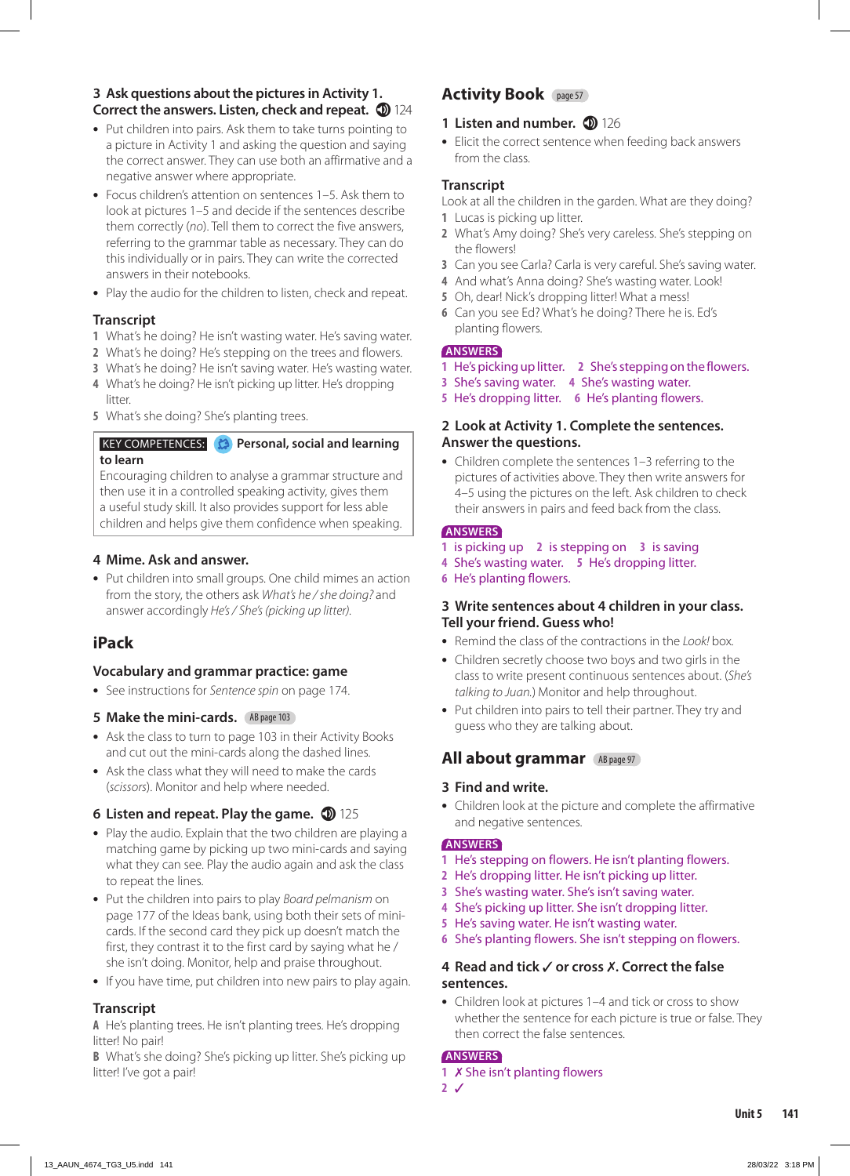#### **3 Ask questions about the pictures in Activity 1. Correct the answers. Listen, check and repeat. 124**

- **•** Put children into pairs. Ask them to take turns pointing to a picture in Activity 1 and asking the question and saying the correct answer. They can use both an affirmative and a negative answer where appropriate.
- **•** Focus children's attention on sentences 1–5. Ask them to look at pictures 1–5 and decide if the sentences describe them correctly (*no*). Tell them to correct the five answers, referring to the grammar table as necessary. They can do this individually or in pairs. They can write the corrected answers in their notebooks.
- **•** Play the audio for the children to listen, check and repeat.

#### **Transcript**

- **1** What's he doing? He isn't wasting water. He's saving water.
- **2** What's he doing? He's stepping on the trees and flowers.
- **3** What's he doing? He isn't saving water. He's wasting water.
- **4** What's he doing? He isn't picking up litter. He's dropping litter
- **5** What's she doing? She's planting trees.

#### **KEY COMPETENCES: Personal, social and learning to learn**

Encouraging children to analyse a grammar structure and then use it in a controlled speaking activity, gives them a useful study skill. It also provides support for less able children and helps give them confidence when speaking.

#### **4 Mime. Ask and answer.**

**•** Put children into small groups. One child mimes an action from the story, the others ask *What's he / she doing?* and answer accordingly *He's / She's (picking up litter).* 

## **iPack**

#### **Vocabulary and grammar practice: game**

**•** See instructions for *Sentence spin* on page 174.

#### **5 Make the mini-cards.** AB page 103

- **•** Ask the class to turn to page 103 in their Activity Books and cut out the mini-cards along the dashed lines.
- **•** Ask the class what they will need to make the cards (*scissors*). Monitor and help where needed.

#### **6 Listen and repeat. Play the game.**  $\bullet$  125

- **•** Play the audio. Explain that the two children are playing a matching game by picking up two mini-cards and saying what they can see. Play the audio again and ask the class to repeat the lines.
- **•** Put the children into pairs to play *Board pelmanism* on page 177 of the Ideas bank, using both their sets of minicards. If the second card they pick up doesn't match the first, they contrast it to the first card by saying what he / she isn't doing. Monitor, help and praise throughout.
- **•** If you have time, put children into new pairs to play again.

## **Transcript**

**A** He's planting trees. He isn't planting trees. He's dropping litter! No pair!

**B** What's she doing? She's picking up litter. She's picking up litter! I've got a pair!

## **Activity Book** page 57

## **1 Listen and number. 1 126**

**•** Elicit the correct sentence when feeding back answers from the class.

### **Transcript**

Look at all the children in the garden. What are they doing? **1** Lucas is picking up litter.

- **2** What's Amy doing? She's very careless. She's stepping on the flowers!
- **3** Can you see Carla? Carla is very careful. She's saving water.
- **4** And what's Anna doing? She's wasting water. Look!
- **5** Oh, dear! Nick's dropping litter! What a mess!
- **6** Can you see Ed? What's he doing? There he is. Ed's planting flowers.

#### **ANSWERS**

- **1** He's picking up litter. **2** She's stepping on the flowers.
- **3** She's saving water. **4** She's wasting water.
- **5** He's dropping litter. **6** He's planting flowers.

#### **2 Look at Activity 1. Complete the sentences. Answer the questions.**

**•** Children complete the sentences 1–3 referring to the pictures of activities above. They then write answers for 4–5 using the pictures on the left. Ask children to check their answers in pairs and feed back from the class.

#### **ANSWERS**

- **1** is picking up **2** is stepping on **3** is saving
- **4** She's wasting water. **5** He's dropping litter.
- **6** He's planting flowers.

#### **3 Write sentences about 4 children in your class. Tell your friend. Guess who!**

- **•** Remind the class of the contractions in the *Look!* box*.*
- **•** Children secretly choose two boys and two girls in the class to write present continuous sentences about. (*She's talking to Juan.*) Monitor and help throughout.
- **•** Put children into pairs to tell their partner. They try and guess who they are talking about.

## **All about grammar** AB page 97

#### **3 Find and write.**

**•** Children look at the picture and complete the affirmative and negative sentences.

#### **ANSWERS**

- **1** He's stepping on flowers. He isn't planting flowers.
- **2** He's dropping litter. He isn't picking up litter.
- **3** She's wasting water. She's isn't saving water.
- **4** She's picking up litter. She isn't dropping litter.
- **5** He's saving water. He isn't wasting water.
- **6** She's planting flowers. She isn't stepping on flowers.

#### **4 Read and tick or cross . Correct the false sentences.**

**•** Children look at pictures 1–4 and tick or cross to show whether the sentence for each picture is true or false. They then correct the false sentences.

## **ANSWERS**

1 X She isn't planting flowers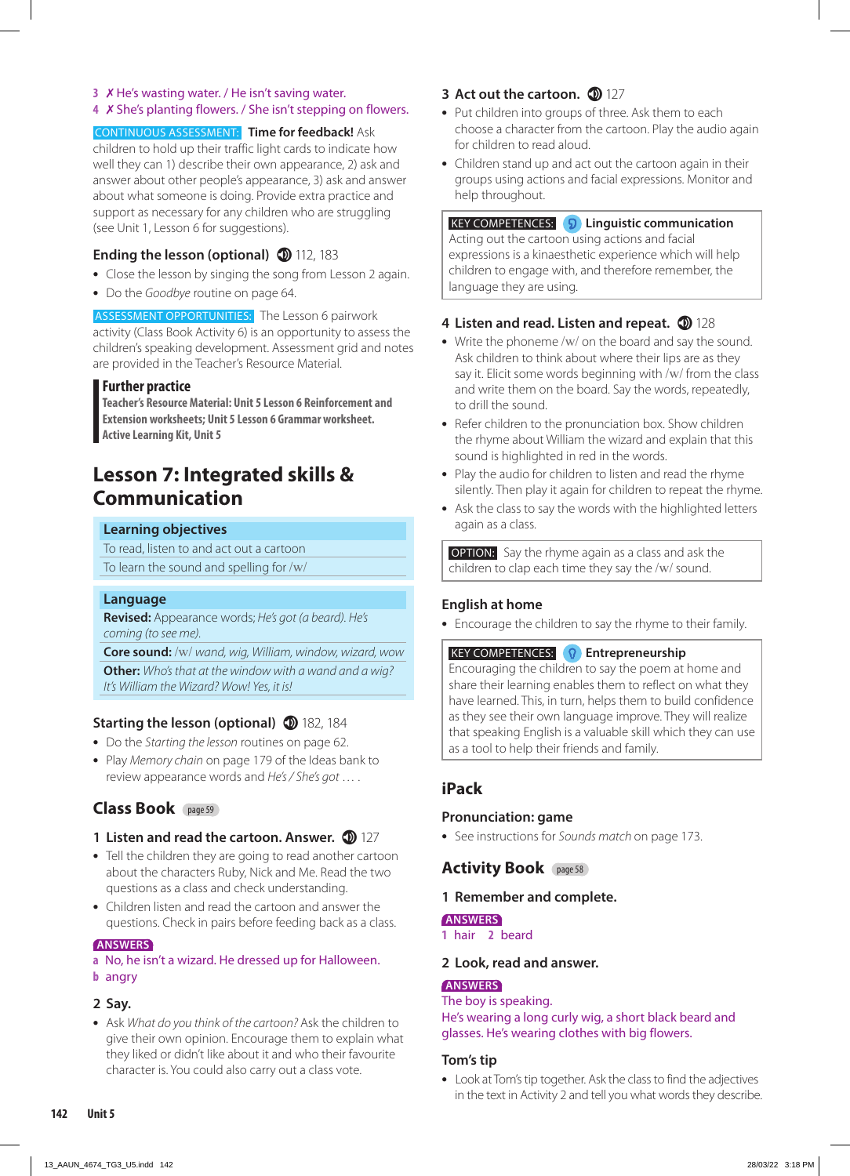#### **3** *X* He's wasting water. / He isn't saving water.

#### 4 X She's planting flowers. / She isn't stepping on flowers.

#### CONTINUOUS ASSESSMENT: **Time for feedback!** Ask

children to hold up their traffic light cards to indicate how well they can 1) describe their own appearance, 2) ask and answer about other people's appearance, 3) ask and answer about what someone is doing. Provide extra practice and support as necessary for any children who are struggling (see Unit 1, Lesson 6 for suggestions).

#### **Ending the lesson (optional) 112, 183**

- **•** Close the lesson by singing the song from Lesson 2 again.
- **•** Do the *Goodbye* routine on page 64.

ASSESSMENT OPPORTUNITIES: The Lesson 6 pairwork activity (Class Book Activity 6) is an opportunity to assess the children's speaking development. Assessment grid and notes are provided in the Teacher's Resource Material.

#### **Further practice**

**Teacher's Resource Material: Unit 5 Lesson 6 Reinforcement and Extension worksheets; Unit 5 Lesson 6 Grammar worksheet. Active Learning Kit, Unit 5**

## **Lesson 7: Integrated skills & Communication**

#### **Learning objectives**

To read, listen to and act out a cartoon

To learn the sound and spelling for /w/

#### **Language**

**Revised:** Appearance words; *He's got (a beard). He's coming (to see me).*

**Core sound:** /w/ *wand, wig, William, window, wizard, wow* **Other:** *Who's that at the window with a wand and a wig? It's William the Wizard? Wow! Yes, it is!*

#### **Starting the lesson (optional)** 182, 184

- **•** Do the *Starting the lesson* routines on page 62.
- **•** Play *Memory chain* on page 179 of the Ideas bank to review appearance words and *He's / She's got* … .

## **Class Book** page 59

#### **1 Listen and read the cartoon. Answer.**  $\bullet$  127

- **•** Tell the children they are going to read another cartoon about the characters Ruby, Nick and Me. Read the two questions as a class and check understanding.
- **•** Children listen and read the cartoon and answer the questions. Check in pairs before feeding back as a class.

#### **ANSWERS**

#### **a** No, he isn't a wizard. He dressed up for Halloween. **b** angry

#### **2 Say.**

**•** Ask *What do you think of the cartoon?* Ask the children to give their own opinion. Encourage them to explain what they liked or didn't like about it and who their favourite character is. You could also carry out a class vote.

## **3** Act out the cartoon. **1** 127

- **•** Put children into groups of three. Ask them to each choose a character from the cartoon. Play the audio again for children to read aloud.
- **•** Children stand up and act out the cartoon again in their groups using actions and facial expressions. Monitor and help throughout.

### KEY COMPETENCES: **Linguistic communication**

Acting out the cartoon using actions and facial expressions is a kinaesthetic experience which will help children to engage with, and therefore remember, the language they are using.

## 4 Listen and read. Listen and repeat. **128**

- **•** Write the phoneme /w/ on the board and say the sound. Ask children to think about where their lips are as they say it. Elicit some words beginning with /w/ from the class and write them on the board. Say the words, repeatedly, to drill the sound.
- **•** Refer children to the pronunciation box. Show children the rhyme about William the wizard and explain that this sound is highlighted in red in the words.
- **•** Play the audio for children to listen and read the rhyme silently. Then play it again for children to repeat the rhyme.
- **•** Ask the class to say the words with the highlighted letters again as a class.

**OPTION:** Say the rhyme again as a class and ask the children to clap each time they say the /w/ sound.

#### **English at home**

**•** Encourage the children to say the rhyme to their family.

#### **KEY COMPETENCES: P** Entrepreneurship

Encouraging the children to say the poem at home and share their learning enables them to reflect on what they have learned. This, in turn, helps them to build confidence as they see their own language improve. They will realize that speaking English is a valuable skill which they can use as a tool to help their friends and family.

## **iPack**

#### **Pronunciation: game**

**•** See instructions for *Sounds match* on page 173.

#### **Activity Book** page 58

#### **1 Remember and complete.**

#### **ANSWERS**

**1** hair **2** beard

#### **2 Look, read and answer.**

#### **ANSWERS**

The boy is speaking. He's wearing a long curly wig, a short black beard and glasses. He's wearing clothes with big flowers.

#### **Tom's tip**

**•** Look at Tom's tip together. Ask the class to find the adjectives in the text in Activity 2 and tell you what words they describe.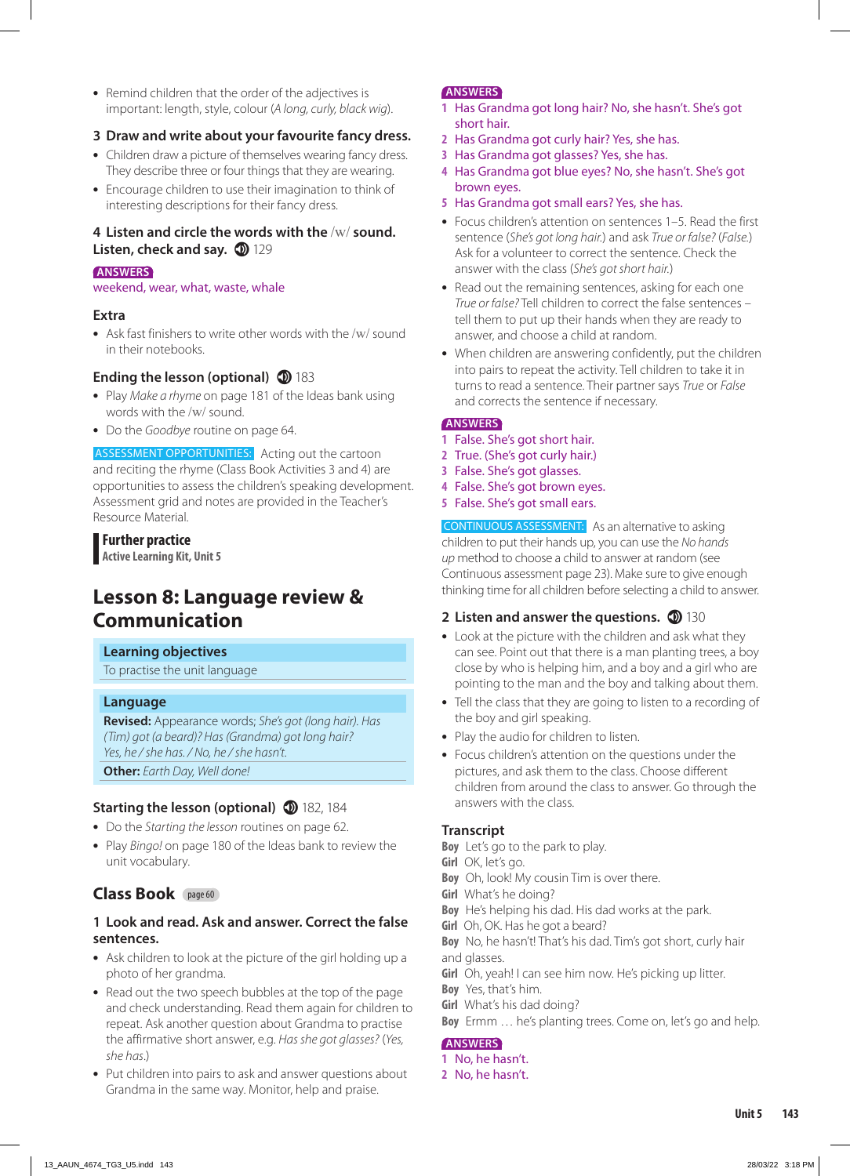**•** Remind children that the order of the adjectives is important: length, style, colour (*A long, curly, black wig*).

### **3 Draw and write about your favourite fancy dress.**

- **•** Children draw a picture of themselves wearing fancy dress. They describe three or four things that they are wearing.
- **•** Encourage children to use their imagination to think of interesting descriptions for their fancy dress.

#### **4 Listen and circle the words with the** /w/ **sound. Listen, check and say. 129** 129

#### **ANSWERS**

weekend, wear, what, waste, whale

#### **Extra**

**•** Ask fast finishers to write other words with the /w/ sound in their notebooks.

### **Ending the lesson (optional) 183**

- **•** Play *Make a rhyme* on page 181 of the Ideas bank using words with the /w/ sound.
- **•** Do the *Goodbye* routine on page 64.

ASSESSMENT OPPORTUNITIES: Acting out the cartoon and reciting the rhyme (Class Book Activities 3 and 4) are opportunities to assess the children's speaking development. Assessment grid and notes are provided in the Teacher's Resource Material.

#### **Further practice**

**Active Learning Kit, Unit 5**

# **Lesson 8: Language review & Communication**

#### **Learning objectives**

To practise the unit language

#### **Language**

**Revised:** Appearance words; *She's got (long hair). Has (Tim) got (a beard)? Has (Grandma) got long hair? Yes, he / she has. / No, he / she hasn't.* **Other:** *Earth Day, Well done!*

## **Starting the lesson (optional)** 182, 184

- **•** Do the *Starting the lesson* routines on page 62.
- **•** Play *Bingo!* on page 180 of the Ideas bank to review the unit vocabulary.

## **Class Book** page 60

#### **1 Look and read. Ask and answer. Correct the false sentences.**

- **•** Ask children to look at the picture of the girl holding up a photo of her grandma.
- **•** Read out the two speech bubbles at the top of the page and check understanding. Read them again for children to repeat. Ask another question about Grandma to practise the affirmative short answer, e.g. *Has she got glasses?* (*Yes, she has*.)
- **•** Put children into pairs to ask and answer questions about Grandma in the same way. Monitor, help and praise.

#### **ANSWERS**

- **1** Has Grandma got long hair? No, she hasn't. She's got short hair.
- **2** Has Grandma got curly hair? Yes, she has.
- **3** Has Grandma got glasses? Yes, she has.
- **4** Has Grandma got blue eyes? No, she hasn't. She's got brown eyes.
- **5** Has Grandma got small ears? Yes, she has.
- **•** Focus children's attention on sentences 1–5. Read the first sentence (*She's got long hair.*) and ask *True or false?* (*False.*) Ask for a volunteer to correct the sentence. Check the answer with the class (*She's got short hair.*)
- **•** Read out the remaining sentences, asking for each one *True or false?* Tell children to correct the false sentences – tell them to put up their hands when they are ready to answer, and choose a child at random.
- **•** When children are answering confidently, put the children into pairs to repeat the activity. Tell children to take it in turns to read a sentence. Their partner says *True* or *False* and corrects the sentence if necessary.

#### **ANSWERS**

- **1** False. She's got short hair.
- **2** True. (She's got curly hair.)
- **3** False. She's got glasses.
- **4** False. She's got brown eyes.
- **5** False. She's got small ears.

CONTINUOUS ASSESSMENT: As an alternative to asking children to put their hands up, you can use the *No hands up* method to choose a child to answer at random (see Continuous assessment page 23). Make sure to give enough thinking time for all children before selecting a child to answer.

#### **2 Listen and answer the questions. 130**

- **•** Look at the picture with the children and ask what they can see. Point out that there is a man planting trees, a boy close by who is helping him, and a boy and a girl who are pointing to the man and the boy and talking about them.
- **•** Tell the class that they are going to listen to a recording of the boy and girl speaking.
- **•** Play the audio for children to listen.
- **•** Focus children's attention on the questions under the pictures, and ask them to the class. Choose different children from around the class to answer. Go through the answers with the class.

#### **Transcript**

- **Boy** Let's go to the park to play.
- **Girl** OK, let's go.
- **Boy** Oh, look! My cousin Tim is over there.
- **Girl** What's he doing?
- **Boy** He's helping his dad. His dad works at the park.
- **Girl** Oh, OK. Has he got a beard?
- **Boy** No, he hasn't! That's his dad. Tim's got short, curly hair and glasses.
- **Girl** Oh, yeah! I can see him now. He's picking up litter.
- **Boy** Yes, that's him.
- **Girl** What's his dad doing?
- **Boy** Ermm … he's planting trees. Come on, let's go and help.

#### **ANSWERS**

- **1** No, he hasn't.
- **2** No, he hasn't.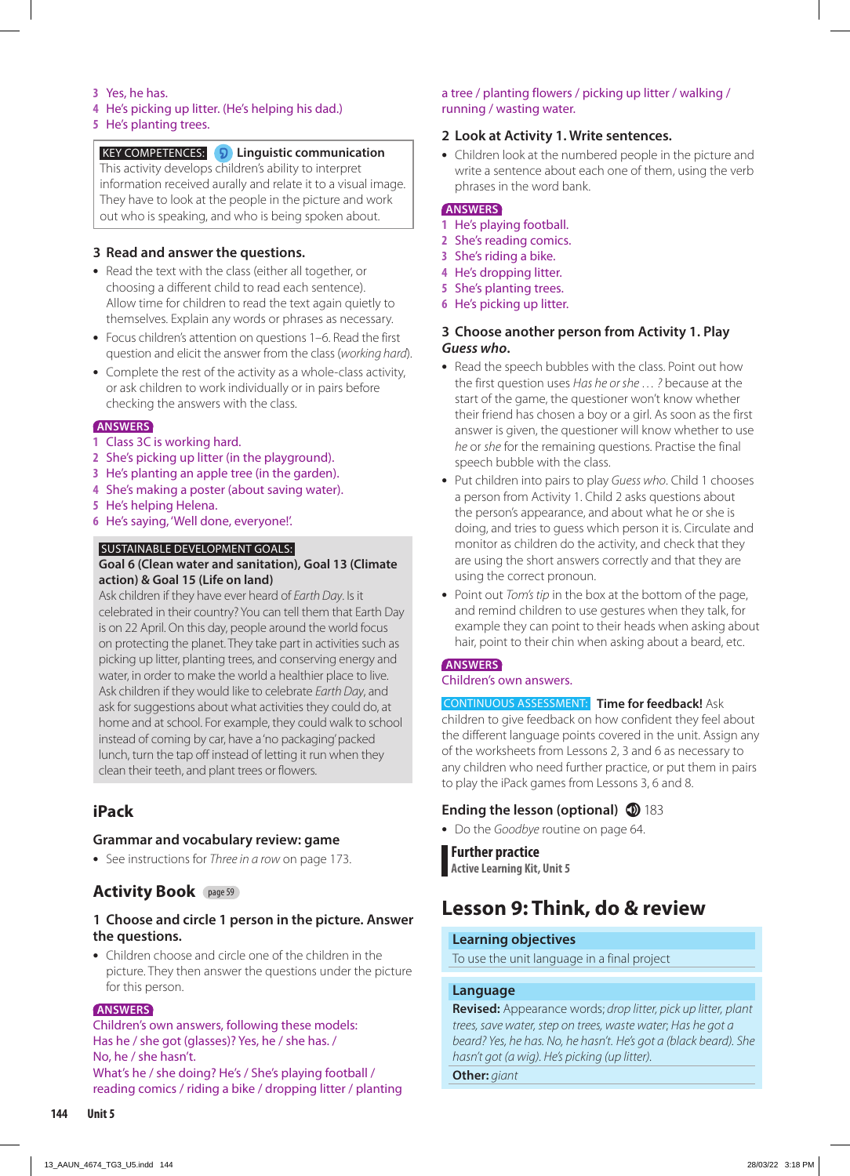#### **3** Yes, he has.

#### **4** He's picking up litter. (He's helping his dad.)

#### **5** He's planting trees.

#### KEY COMPETENCES: **Linguistic communication**

This activity develops children's ability to interpret information received aurally and relate it to a visual image. They have to look at the people in the picture and work out who is speaking, and who is being spoken about.

#### **3 Read and answer the questions.**

- **•** Read the text with the class (either all together, or choosing a different child to read each sentence). Allow time for children to read the text again quietly to themselves. Explain any words or phrases as necessary.
- **•** Focus children's attention on questions 1–6. Read the first question and elicit the answer from the class (*working hard*).
- **•** Complete the rest of the activity as a whole-class activity, or ask children to work individually or in pairs before checking the answers with the class.

#### **ANSWERS**

- **1** Class 3C is working hard.
- **2** She's picking up litter (in the playground).
- **3** He's planting an apple tree (in the garden).
- **4** She's making a poster (about saving water).
- **5** He's helping Helena.
- **6** He's saying, 'Well done, everyone!'.

#### SUSTAINABLE DEVELOPMENT GOALS:

#### **Goal 6 (Clean water and sanitation), Goal 13 (Climate action) & Goal 15 (Life on land)**

Ask children if they have ever heard of *Earth Day*. Is it celebrated in their country? You can tell them that Earth Day is on 22 April. On this day, people around the world focus on protecting the planet. They take part in activities such as picking up litter, planting trees, and conserving energy and water, in order to make the world a healthier place to live. Ask children if they would like to celebrate *Earth Day*, and ask for suggestions about what activities they could do, at home and at school. For example, they could walk to school instead of coming by car, have a 'no packaging' packed lunch, turn the tap off instead of letting it run when they clean their teeth, and plant trees or flowers.

## **iPack**

#### **Grammar and vocabulary review: game**

**•** See instructions for *Three in a row* on page 173.

## **Activity Book** page 59

#### **1 Choose and circle 1 person in the picture. Answer the questions.**

**•** Children choose and circle one of the children in the picture. They then answer the questions under the picture for this person.

#### **ANSWERS**

Children's own answers, following these models: Has he / she got (glasses)? Yes, he / she has. / No, he / she hasn't. What's he / she doing? He's / She's playing football / reading comics / riding a bike / dropping litter / planting

#### a tree / planting flowers / picking up litter / walking / running / wasting water.

#### **2 Look at Activity 1. Write sentences.**

**•** Children look at the numbered people in the picture and write a sentence about each one of them, using the verb phrases in the word bank.

#### **ANSWERS**

- **1** He's playing football.
- **2** She's reading comics.
- **3** She's riding a bike.
- **4** He's dropping litter.
- **5** She's planting trees.
- **6** He's picking up litter.

#### **3 Choose another person from Activity 1. Play**  *Guess who***.**

- **•** Read the speech bubbles with the class. Point out how the first question uses *Has he or she … ?* because at the start of the game, the questioner won't know whether their friend has chosen a boy or a girl. As soon as the first answer is given, the questioner will know whether to use *he* or *she* for the remaining questions. Practise the final speech bubble with the class.
- **•** Put children into pairs to play *Guess who*. Child 1 chooses a person from Activity 1. Child 2 asks questions about the person's appearance, and about what he or she is doing, and tries to guess which person it is. Circulate and monitor as children do the activity, and check that they are using the short answers correctly and that they are using the correct pronoun.
- **•** Point out *Tom's tip* in the box at the bottom of the page, and remind children to use gestures when they talk, for example they can point to their heads when asking about hair, point to their chin when asking about a beard, etc.

#### **ANSWERS**

#### Children's own answers.

#### CONTINUOUS ASSESSMENT: **Time for feedback!** Ask

children to give feedback on how confident they feel about the different language points covered in the unit. Assign any of the worksheets from Lessons 2, 3 and 6 as necessary to any children who need further practice, or put them in pairs to play the iPack games from Lessons 3, 6 and 8.

#### **Ending the lesson (optional) 183**

**•** Do the *Goodbye* routine on page 64.

#### **Further practice**

**Active Learning Kit, Unit 5**

## **Lesson 9: Think, do & review**

#### **Learning objectives**

To use the unit language in a final project

#### **Language**

**Revised:** Appearance words; *drop litter, pick up litter, plant trees, save water, step on trees, waste water*; *Has he got a beard? Yes, he has. No, he hasn't. He's got a (black beard). She hasn't got (a wig). He's picking (up litter).*

**Other:** *giant*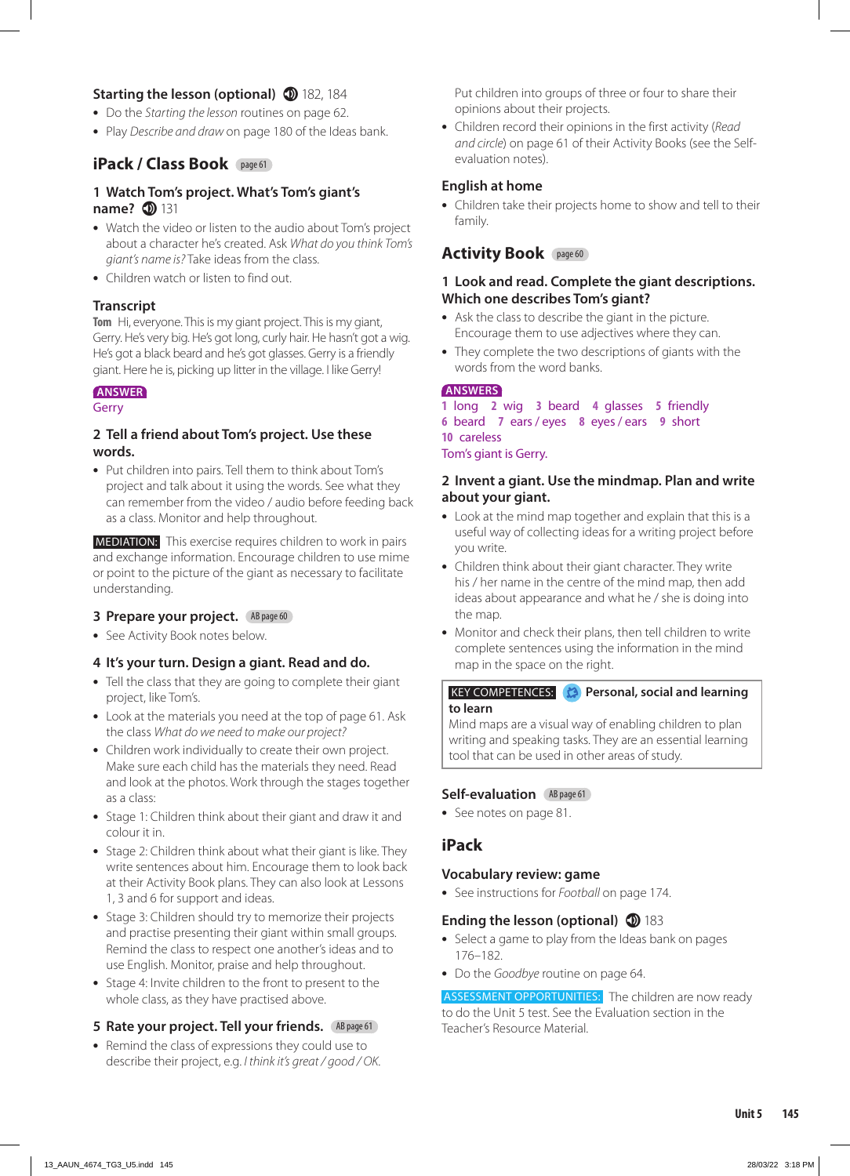## **Starting the lesson (optional)** 182, 184

- **•** Do the *Starting the lesson* routines on page 62.
- **•** Play *Describe and draw* on page 180 of the Ideas bank.

## **iPack / Class Book** page 61

#### **1 Watch Tom's project. What's Tom's giant's name? 131**

- **•** Watch the video or listen to the audio about Tom's project about a character he's created. Ask *What do you think Tom's giant's name is?* Take ideas from the class.
- **•** Children watch or listen to find out.

#### **Transcript**

**Tom** Hi, everyone. This is my giant project. This is my giant, Gerry. He's very big. He's got long, curly hair. He hasn't got a wig. He's got a black beard and he's got glasses. Gerry is a friendly giant. Here he is, picking up litter in the village. I like Gerry!

#### **ANSWER**

#### **Gerry**

#### **2 Tell a friend about Tom's project. Use these words.**

**•** Put children into pairs. Tell them to think about Tom's project and talk about it using the words. See what they can remember from the video / audio before feeding back as a class. Monitor and help throughout.

 MEDIATION: This exercise requires children to work in pairs and exchange information. Encourage children to use mime or point to the picture of the giant as necessary to facilitate understanding.

#### **3 Prepare your project.** AB page 60

**•** See Activity Book notes below.

#### **4 It's your turn. Design a giant. Read and do.**

- **•** Tell the class that they are going to complete their giant project, like Tom's.
- **•** Look at the materials you need at the top of page 61. Ask the class *What do we need to make our project?*
- **•** Children work individually to create their own project. Make sure each child has the materials they need. Read and look at the photos. Work through the stages together as a class:
- **•** Stage 1: Children think about their giant and draw it and colour it in.
- **•** Stage 2: Children think about what their giant is like. They write sentences about him. Encourage them to look back at their Activity Book plans. They can also look at Lessons 1, 3 and 6 for support and ideas.
- **•** Stage 3: Children should try to memorize their projects and practise presenting their giant within small groups. Remind the class to respect one another's ideas and to use English. Monitor, praise and help throughout.
- **•** Stage 4: Invite children to the front to present to the whole class, as they have practised above.

#### **5 Rate your project. Tell your friends.** AB page 61

**•** Remind the class of expressions they could use to describe their project, e.g. *I think it's great / good / OK.* Put children into groups of three or four to share their opinions about their projects.

**•** Children record their opinions in the first activity (*Read and circle*) on page 61 of their Activity Books (see the Selfevaluation notes).

### **English at home**

**•** Children take their projects home to show and tell to their family.

## **Activity Book** page 60

#### **1 Look and read. Complete the giant descriptions. Which one describes Tom's giant?**

- **•** Ask the class to describe the giant in the picture. Encourage them to use adjectives where they can.
- **•** They complete the two descriptions of giants with the words from the word banks.

#### **ANSWERS**

 long **2** wig **3** beard **4** glasses **5** friendly beard **7** ears / eyes **8** eyes / ears **9** short careless Tom's giant is Gerry.

#### **2 Invent a giant. Use the mindmap. Plan and write about your giant.**

- **•** Look at the mind map together and explain that this is a useful way of collecting ideas for a writing project before you write.
- **•** Children think about their giant character. They write his / her name in the centre of the mind map, then add ideas about appearance and what he / she is doing into the map.
- **•** Monitor and check their plans, then tell children to write complete sentences using the information in the mind map in the space on the right.

#### **KEY COMPETENCES: Personal, social and learning to learn**

Mind maps are a visual way of enabling children to plan writing and speaking tasks. They are an essential learning tool that can be used in other areas of study.

#### **Self-evaluation AB page 61**

**•** See notes on page 81.

## **iPack**

#### **Vocabulary review: game**

**•** See instructions for *Football* on page 174.

#### **Ending the lesson (optional) 183**

- **•** Select a game to play from the Ideas bank on pages 176–182.
- **•** Do the *Goodbye* routine on page 64.

ASSESSMENT OPPORTUNITIES: The children are now ready to do the Unit 5 test. See the Evaluation section in the Teacher's Resource Material.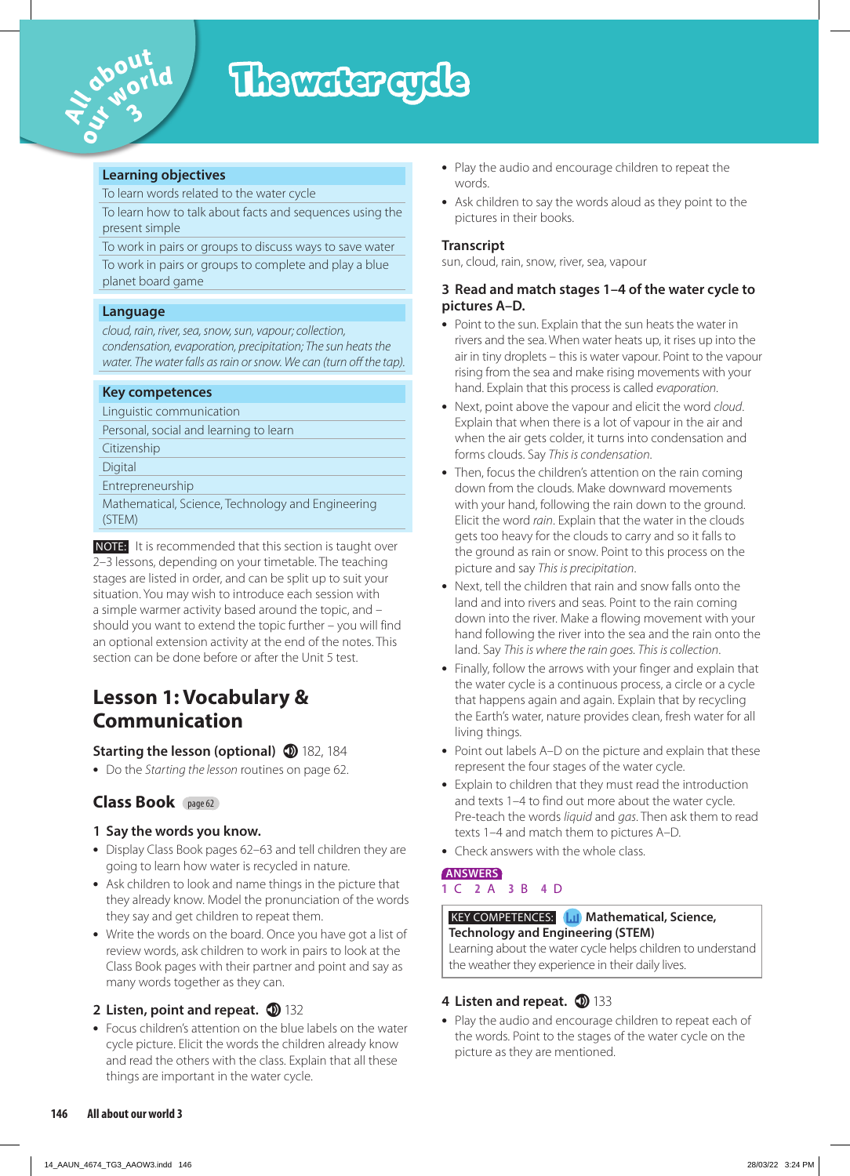

# The water cycle

#### **Learning objectives**

To learn words related to the water cycle

To learn how to talk about facts and sequences using the present simple

To work in pairs or groups to discuss ways to save water To work in pairs or groups to complete and play a blue planet board game

#### **Language**

*cloud, rain, river, sea, snow, sun, vapour; collection, condensation, evaporation, precipitation; The sun heats the water. The water falls as rain or snow. We can (turn off the tap).* 

#### **Key competences**

Linguistic communication

Personal, social and learning to learn

Citizenship

Digital

Entrepreneurship

Mathematical, Science, Technology and Engineering (STEM)

 NOTE: It is recommended that this section is taught over 2–3 lessons, depending on your timetable. The teaching stages are listed in order, and can be split up to suit your situation. You may wish to introduce each session with a simple warmer activity based around the topic, and – should you want to extend the topic further – you will find an optional extension activity at the end of the notes. This section can be done before or after the Unit 5 test.

# **Lesson 1: Vocabulary & Communication**

## **Starting the lesson (optional) 182, 184**

**•** Do the *Starting the lesson* routines on page 62.

## **Class Book** page 62

## **1 Say the words you know.**

- **•** Display Class Book pages 62–63 and tell children they are going to learn how water is recycled in nature.
- **•** Ask children to look and name things in the picture that they already know. Model the pronunciation of the words they say and get children to repeat them.
- **•** Write the words on the board. Once you have got a list of review words, ask children to work in pairs to look at the Class Book pages with their partner and point and say as many words together as they can.

## **2 Listen, point and repeat.**  $\bullet$  132

**•** Focus children's attention on the blue labels on the water cycle picture. Elicit the words the children already know and read the others with the class. Explain that all these things are important in the water cycle.

- **•** Play the audio and encourage children to repeat the words.
- **•** Ask children to say the words aloud as they point to the pictures in their books.

## **Transcript**

sun, cloud, rain, snow, river, sea, vapour

#### **3 Read and match stages 1–4 of the water cycle to pictures A–D.**

- **•** Point to the sun. Explain that the sun heats the water in rivers and the sea. When water heats up, it rises up into the air in tiny droplets – this is water vapour. Point to the vapour rising from the sea and make rising movements with your hand. Explain that this process is called *evaporation*.
- **•** Next, point above the vapour and elicit the word *cloud*. Explain that when there is a lot of vapour in the air and when the air gets colder, it turns into condensation and forms clouds. Say *This is condensation*.
- **•** Then, focus the children's attention on the rain coming down from the clouds. Make downward movements with your hand, following the rain down to the ground. Elicit the word *rain*. Explain that the water in the clouds gets too heavy for the clouds to carry and so it falls to the ground as rain or snow. Point to this process on the picture and say *This is precipitation*.
- **•** Next, tell the children that rain and snow falls onto the land and into rivers and seas. Point to the rain coming down into the river. Make a flowing movement with your hand following the river into the sea and the rain onto the land. Say *This is where the rain goes. This is collection*.
- **•** Finally, follow the arrows with your finger and explain that the water cycle is a continuous process, a circle or a cycle that happens again and again. Explain that by recycling the Earth's water, nature provides clean, fresh water for all living things.
- **•** Point out labels A–D on the picture and explain that these represent the four stages of the water cycle.
- **•** Explain to children that they must read the introduction and texts 1–4 to find out more about the water cycle. Pre-teach the words *liquid* and *gas*. Then ask them to read texts 1–4 and match them to pictures A–D.
- **•** Check answers with the whole class.

#### **ANSWERS 1** C **2** A **3** B **4** D

#### **KEY COMPETENCES: Mathematical, Science, Technology and Engineering (STEM)** Learning about the water cycle helps children to understand

the weather they experience in their daily lives.

## 4 Listen and repeat. **133**

**•** Play the audio and encourage children to repeat each of the words. Point to the stages of the water cycle on the picture as they are mentioned.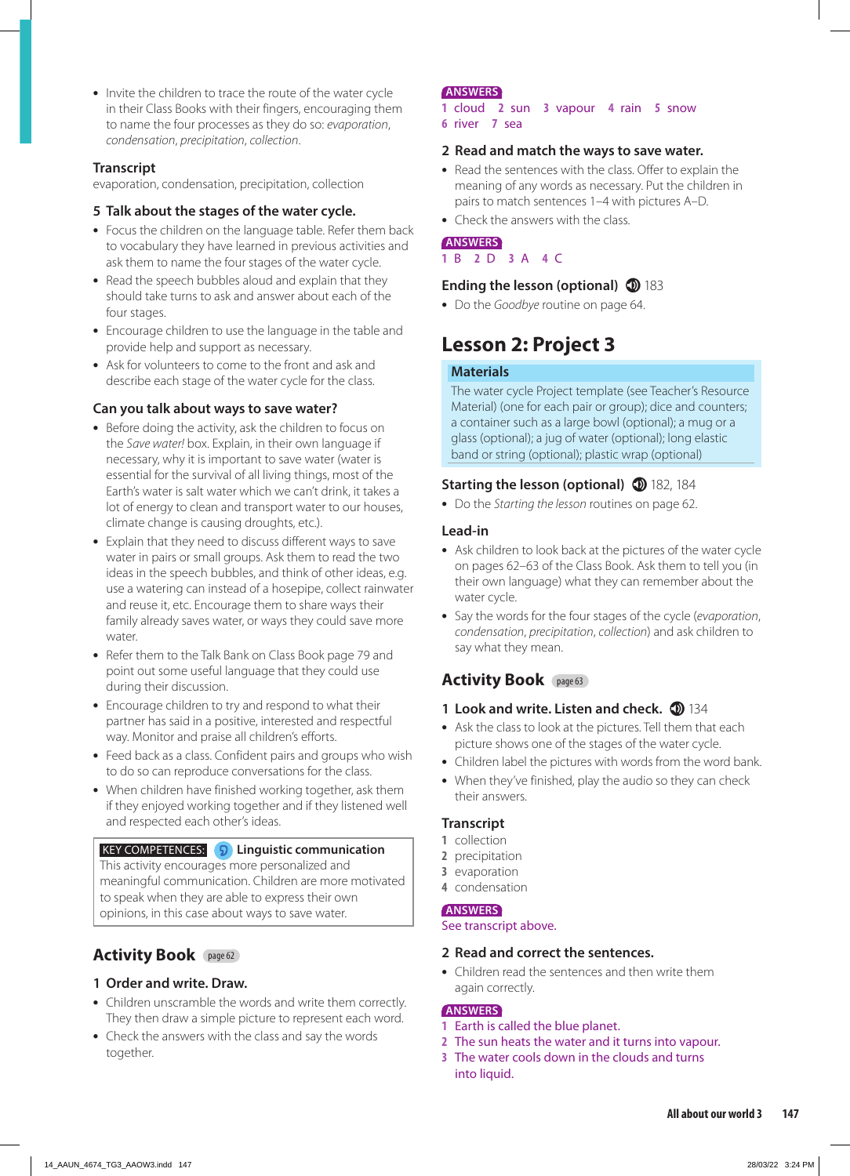• Invite the children to trace the route of the water cycle in their Class Books with their fingers, encouraging them to name the four processes as they do so: *evaporation*, *condensation*, *precipitation*, *collection*.

#### **Transcript**

evaporation, condensation, precipitation, collection

### **5 Talk about the stages of the water cycle.**

- **•** Focus the children on the language table. Refer them back to vocabulary they have learned in previous activities and ask them to name the four stages of the water cycle.
- **•** Read the speech bubbles aloud and explain that they should take turns to ask and answer about each of the four stages.
- **•** Encourage children to use the language in the table and provide help and support as necessary.
- **•** Ask for volunteers to come to the front and ask and describe each stage of the water cycle for the class.

### **Can you talk about ways to save water?**

- **•** Before doing the activity, ask the children to focus on the *Save water!* box. Explain, in their own language if necessary, why it is important to save water (water is essential for the survival of all living things, most of the Earth's water is salt water which we can't drink, it takes a lot of energy to clean and transport water to our houses, climate change is causing droughts, etc.).
- **•** Explain that they need to discuss different ways to save water in pairs or small groups. Ask them to read the two ideas in the speech bubbles, and think of other ideas, e.g. use a watering can instead of a hosepipe, collect rainwater and reuse it, etc. Encourage them to share ways their family already saves water, or ways they could save more water.
- **•** Refer them to the Talk Bank on Class Book page 79 and point out some useful language that they could use during their discussion.
- **•** Encourage children to try and respond to what their partner has said in a positive, interested and respectful way. Monitor and praise all children's efforts.
- **•** Feed back as a class. Confident pairs and groups who wish to do so can reproduce conversations for the class.
- **•** When children have finished working together, ask them if they enjoyed working together and if they listened well and respected each other's ideas.

#### KEY COMPETENCES: **Linguistic communication**

This activity encourages more personalized and meaningful communication. Children are more motivated to speak when they are able to express their own opinions, in this case about ways to save water.

## **Activity Book** page 62

## **1 Order and write. Draw.**

- **•** Children unscramble the words and write them correctly. They then draw a simple picture to represent each word.
- **•** Check the answers with the class and say the words together.

#### **ANSWERS**

- **1** cloud **2** sun **3** vapour **4** rain **5** snow
- **6** river **7** sea

#### **2 Read and match the ways to save water.**

- **•** Read the sentences with the class. Offer to explain the meaning of any words as necessary. Put the children in pairs to match sentences 1–4 with pictures A–D.
- **•** Check the answers with the class.

**ANSWERS 1** B **2** D **3** A **4** C

### **Ending the lesson (optional) 183**

**•** Do the *Goodbye* routine on page 64.

# **Lesson 2: Project 3**

#### **Materials**

The water cycle Project template (see Teacher's Resource Material) (one for each pair or group); dice and counters; a container such as a large bowl (optional); a mug or a glass (optional); a jug of water (optional); long elastic band or string (optional); plastic wrap (optional)

## **Starting the lesson (optional) 182, 184**

**•** Do the *Starting the lesson* routines on page 62.

### **Lead-in**

- **•** Ask children to look back at the pictures of the water cycle on pages 62–63 of the Class Book. Ask them to tell you (in their own language) what they can remember about the water cycle.
- **•** Say the words for the four stages of the cycle (*evaporation*, *condensation*, *precipitation*, *collection*) and ask children to say what they mean.

## **Activity Book** page 63

## **1 Look and write. Listen and check.**  $\Phi$  134

- **•** Ask the class to look at the pictures. Tell them that each picture shows one of the stages of the water cycle.
- **•** Children label the pictures with words from the word bank.
- **•** When they've finished, play the audio so they can check their answers.

## **Transcript**

- **1** collection
- **2** precipitation
- **3** evaporation
- **4** condensation

#### **ANSWERS**

See transcript above.

#### **2 Read and correct the sentences.**

**•** Children read the sentences and then write them again correctly.

#### **ANSWERS**

- **1** Earth is called the blue planet.
- **2** The sun heats the water and it turns into vapour.
- **3** The water cools down in the clouds and turns into liquid.